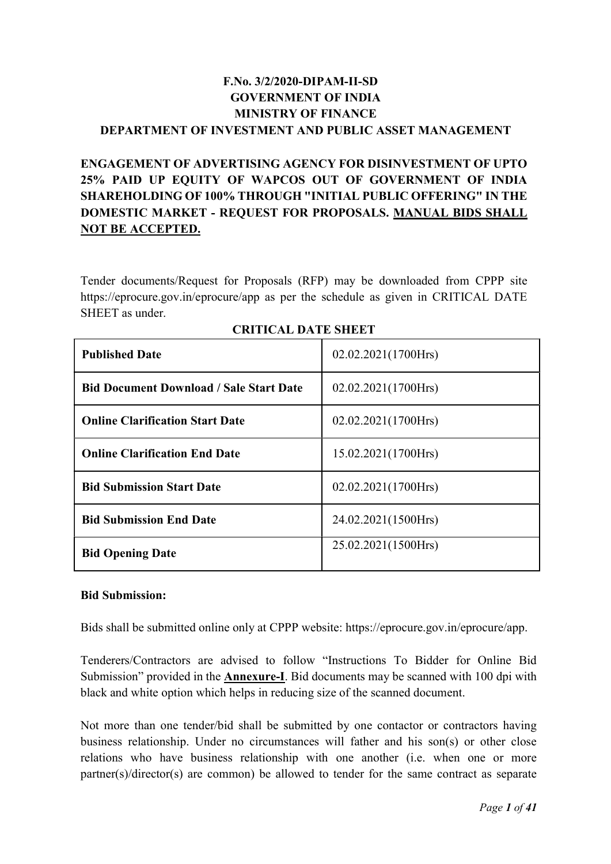# F.No. 3/2/2020-DIPAM-II-SD GOVERNMENT OF INDIA MINISTRY OF FINANCE DEPARTMENT OF INVESTMENT AND PUBLIC ASSET MANAGEMENT

# ENGAGEMENT OF ADVERTISING AGENCY FOR DISINVESTMENT OF UPTO 25% PAID UP EQUITY OF WAPCOS OUT OF GOVERNMENT OF INDIA SHAREHOLDING OF 100% THROUGH "INITIAL PUBLIC OFFERING" IN THE DOMESTIC MARKET - REQUEST FOR PROPOSALS. MANUAL BIDS SHALL NOT BE ACCEPTED.

Tender documents/Request for Proposals (RFP) may be downloaded from CPPP site https://eprocure.gov.in/eprocure/app as per the schedule as given in CRITICAL DATE SHEET as under.

| <b>Published Date</b>                          | 02.02.2021(1700Hrs) |
|------------------------------------------------|---------------------|
| <b>Bid Document Download / Sale Start Date</b> | 02.02.2021(1700Hrs) |
| <b>Online Clarification Start Date</b>         | 02.02.2021(1700Hrs) |
| <b>Online Clarification End Date</b>           | 15.02.2021(1700Hrs) |
| <b>Bid Submission Start Date</b>               | 02.02.2021(1700Hrs) |
| <b>Bid Submission End Date</b>                 | 24.02.2021(1500Hrs) |
| <b>Bid Opening Date</b>                        | 25.02.2021(1500Hrs) |

| <b>CRITICAL DATE SHEET</b> |  |  |
|----------------------------|--|--|
|----------------------------|--|--|

#### Bid Submission:

Bids shall be submitted online only at CPPP website: https://eprocure.gov.in/eprocure/app.

Tenderers/Contractors are advised to follow "Instructions To Bidder for Online Bid Submission" provided in the **Annexure-I**. Bid documents may be scanned with 100 dpi with black and white option which helps in reducing size of the scanned document.

Not more than one tender/bid shall be submitted by one contactor or contractors having business relationship. Under no circumstances will father and his son(s) or other close relations who have business relationship with one another (i.e. when one or more partner(s)/director(s) are common) be allowed to tender for the same contract as separate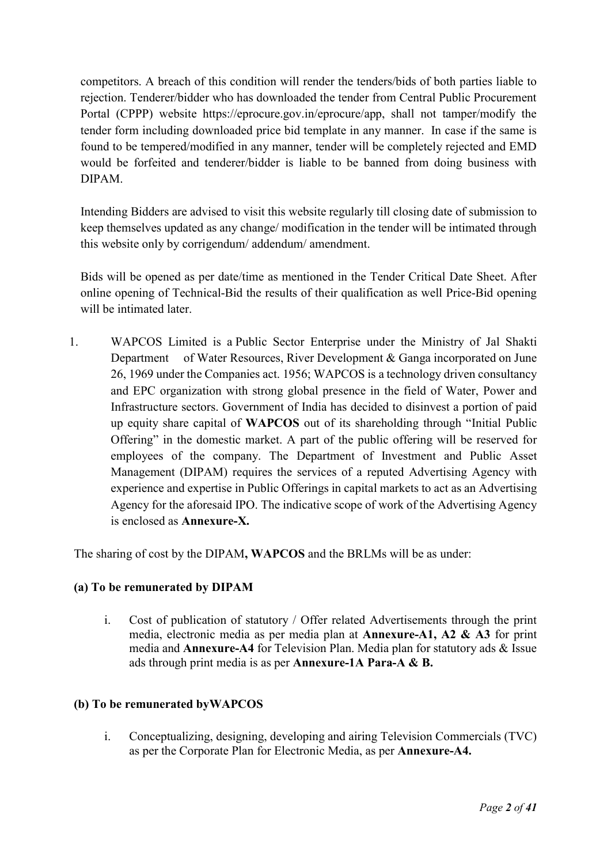competitors. A breach of this condition will render the tenders/bids of both parties liable to rejection. Tenderer/bidder who has downloaded the tender from Central Public Procurement Portal (CPPP) website https://eprocure.gov.in/eprocure/app, shall not tamper/modify the tender form including downloaded price bid template in any manner. In case if the same is found to be tempered/modified in any manner, tender will be completely rejected and EMD would be forfeited and tenderer/bidder is liable to be banned from doing business with DIPAM.

Intending Bidders are advised to visit this website regularly till closing date of submission to keep themselves updated as any change/ modification in the tender will be intimated through this website only by corrigendum/ addendum/ amendment.

Bids will be opened as per date/time as mentioned in the Tender Critical Date Sheet. After online opening of Technical-Bid the results of their qualification as well Price-Bid opening will be intimated later.

1. WAPCOS Limited is a Public Sector Enterprise under the Ministry of Jal Shakti Department of Water Resources, River Development & Ganga incorporated on June 26, 1969 under the Companies act. 1956; WAPCOS is a technology driven consultancy and EPC organization with strong global presence in the field of Water, Power and Infrastructure sectors. Government of India has decided to disinvest a portion of paid up equity share capital of WAPCOS out of its shareholding through "Initial Public Offering" in the domestic market. A part of the public offering will be reserved for employees of the company. The Department of Investment and Public Asset Management (DIPAM) requires the services of a reputed Advertising Agency with experience and expertise in Public Offerings in capital markets to act as an Advertising Agency for the aforesaid IPO. The indicative scope of work of the Advertising Agency is enclosed as Annexure-X.

The sharing of cost by the DIPAM, WAPCOS and the BRLMs will be as under:

# (a) To be remunerated by DIPAM

i. Cost of publication of statutory / Offer related Advertisements through the print media, electronic media as per media plan at Annexure-A1, A2 & A3 for print media and Annexure-A4 for Television Plan. Media plan for statutory ads & Issue ads through print media is as per Annexure-1A Para-A & B.

### (b) To be remunerated byWAPCOS

i. Conceptualizing, designing, developing and airing Television Commercials (TVC) as per the Corporate Plan for Electronic Media, as per Annexure-A4.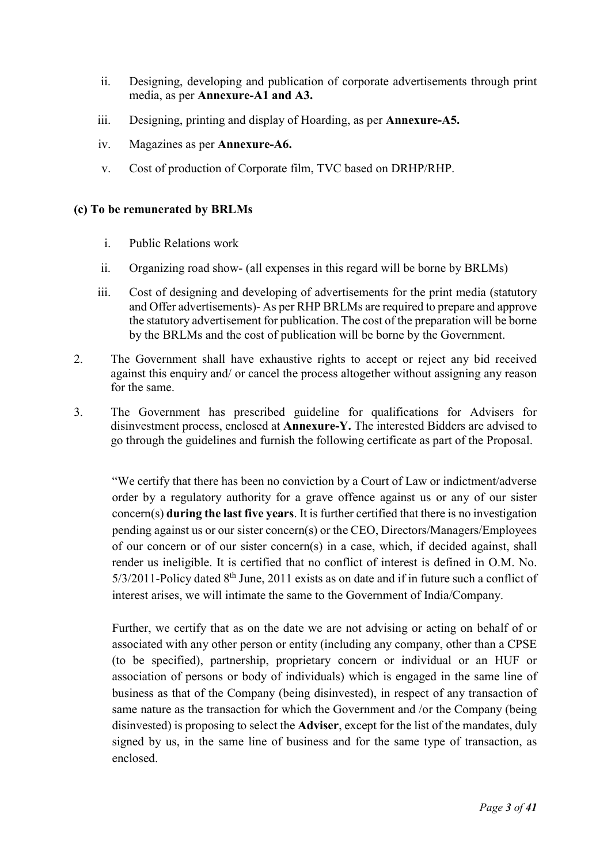- ii. Designing, developing and publication of corporate advertisements through print media, as per Annexure-A1 and A3.
- iii. Designing, printing and display of Hoarding, as per Annexure-A5.
- iv. Magazines as per Annexure-A6.
- v. Cost of production of Corporate film, TVC based on DRHP/RHP.

#### (c) To be remunerated by BRLMs

- i. Public Relations work
- ii. Organizing road show- (all expenses in this regard will be borne by BRLMs)
- iii. Cost of designing and developing of advertisements for the print media (statutory and Offer advertisements)- As per RHP BRLMs are required to prepare and approve the statutory advertisement for publication. The cost of the preparation will be borne by the BRLMs and the cost of publication will be borne by the Government.
- 2. The Government shall have exhaustive rights to accept or reject any bid received against this enquiry and/ or cancel the process altogether without assigning any reason for the same.
- 3. The Government has prescribed guideline for qualifications for Advisers for disinvestment process, enclosed at Annexure-Y. The interested Bidders are advised to go through the guidelines and furnish the following certificate as part of the Proposal.

"We certify that there has been no conviction by a Court of Law or indictment/adverse order by a regulatory authority for a grave offence against us or any of our sister concern(s) during the last five years. It is further certified that there is no investigation pending against us or our sister concern(s) or the CEO, Directors/Managers/Employees of our concern or of our sister concern(s) in a case, which, if decided against, shall render us ineligible. It is certified that no conflict of interest is defined in O.M. No.  $5/3/2011$ -Policy dated  $8<sup>th</sup>$  June, 2011 exists as on date and if in future such a conflict of interest arises, we will intimate the same to the Government of India/Company.

Further, we certify that as on the date we are not advising or acting on behalf of or associated with any other person or entity (including any company, other than a CPSE (to be specified), partnership, proprietary concern or individual or an HUF or association of persons or body of individuals) which is engaged in the same line of business as that of the Company (being disinvested), in respect of any transaction of same nature as the transaction for which the Government and /or the Company (being disinvested) is proposing to select the Adviser, except for the list of the mandates, duly signed by us, in the same line of business and for the same type of transaction, as enclosed.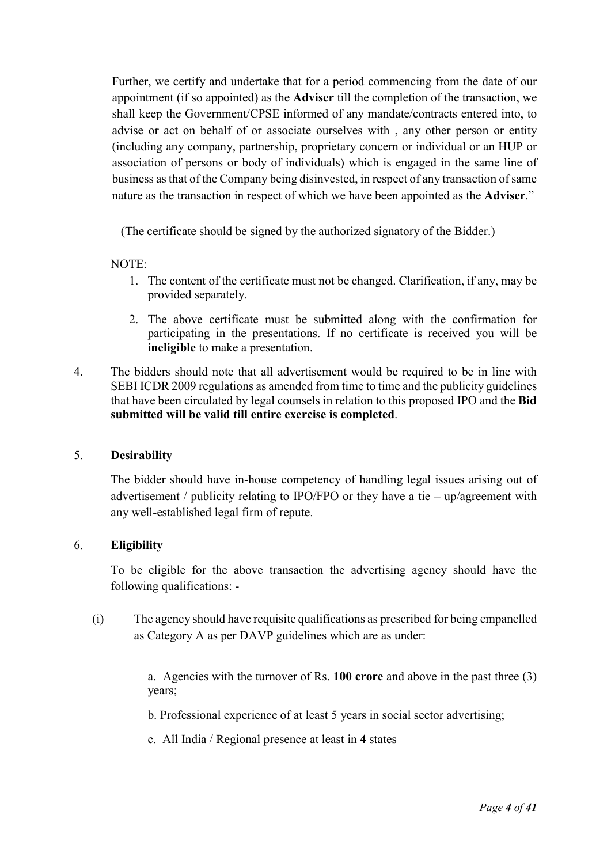Further, we certify and undertake that for a period commencing from the date of our appointment (if so appointed) as the Adviser till the completion of the transaction, we shall keep the Government/CPSE informed of any mandate/contracts entered into, to advise or act on behalf of or associate ourselves with , any other person or entity (including any company, partnership, proprietary concern or individual or an HUP or association of persons or body of individuals) which is engaged in the same line of business as that of the Company being disinvested, in respect of any transaction of same nature as the transaction in respect of which we have been appointed as the Adviser."

(The certificate should be signed by the authorized signatory of the Bidder.)

#### NOTE:

- 1. The content of the certificate must not be changed. Clarification, if any, may be provided separately.
- 2. The above certificate must be submitted along with the confirmation for participating in the presentations. If no certificate is received you will be ineligible to make a presentation.
- 4. The bidders should note that all advertisement would be required to be in line with SEBI ICDR 2009 regulations as amended from time to time and the publicity guidelines that have been circulated by legal counsels in relation to this proposed IPO and the Bid submitted will be valid till entire exercise is completed.

#### 5. Desirability

The bidder should have in-house competency of handling legal issues arising out of advertisement / publicity relating to IPO/FPO or they have a tie – up/agreement with any well-established legal firm of repute.

### 6. Eligibility

To be eligible for the above transaction the advertising agency should have the following qualifications: -

(i) The agency should have requisite qualifications as prescribed for being empanelled as Category A as per DAVP guidelines which are as under:

> a. Agencies with the turnover of Rs. 100 crore and above in the past three (3) years;

b. Professional experience of at least 5 years in social sector advertising;

c. All India / Regional presence at least in 4 states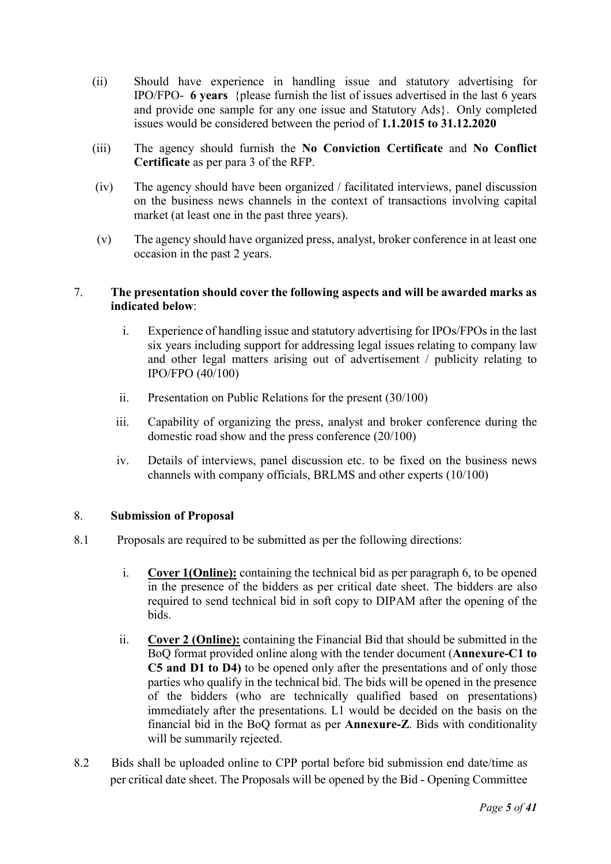- (ii) Should have experience in handling issue and statutory advertising for IPO/FPO- 6 years {please furnish the list of issues advertised in the last 6 years and provide one sample for any one issue and Statutory Ads}. Only completed issues would be considered between the period of 1.1.2015 to 31.12.2020
- (iii) The agency should furnish the No Conviction Certificate and No Conflict Certificate as per para 3 of the RFP.
- (iv) The agency should have been organized / facilitated interviews, panel discussion on the business news channels in the context of transactions involving capital market (at least one in the past three years).
- (v) The agency should have organized press, analyst, broker conference in at least one occasion in the past 2 years.

#### 7. The presentation should cover the following aspects and will be awarded marks as indicated below:

- i. Experience of handling issue and statutory advertising for IPOs/FPOs in the last six years including support for addressing legal issues relating to company law and other legal matters arising out of advertisement / publicity relating to IPO/FPO (40/100)
- ii. Presentation on Public Relations for the present (30/100)
- iii. Capability of organizing the press, analyst and broker conference during the domestic road show and the press conference (20/100)
- iv. Details of interviews, panel discussion etc. to be fixed on the business news channels with company officials, BRLMS and other experts (10/100)

### 8. Submission of Proposal

- 8.1 Proposals are required to be submitted as per the following directions:
	- i. Cover 1(Online): containing the technical bid as per paragraph 6, to be opened in the presence of the bidders as per critical date sheet. The bidders are also required to send technical bid in soft copy to DIPAM after the opening of the bids.
	- ii. Cover 2 (Online): containing the Financial Bid that should be submitted in the BoQ format provided online along with the tender document (Annexure-C1 to C5 and D1 to D4) to be opened only after the presentations and of only those parties who qualify in the technical bid. The bids will be opened in the presence of the bidders (who are technically qualified based on presentations) immediately after the presentations. L1 would be decided on the basis on the financial bid in the BoQ format as per Annexure-Z. Bids with conditionality will be summarily rejected.
- 8.2 Bids shall be uploaded online to CPP portal before bid submission end date/time as per critical date sheet. The Proposals will be opened by the Bid - Opening Committee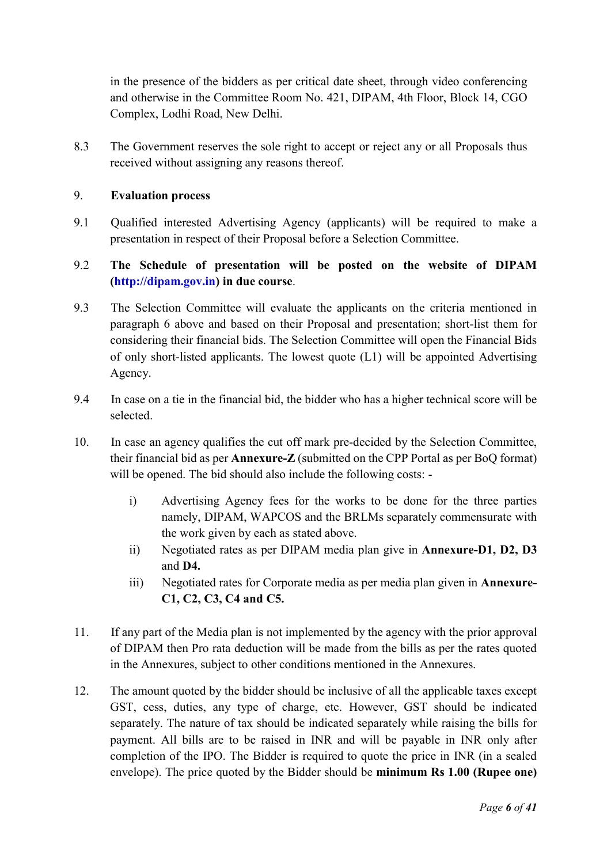in the presence of the bidders as per critical date sheet, through video conferencing and otherwise in the Committee Room No. 421, DIPAM, 4th Floor, Block 14, CGO Complex, Lodhi Road, New Delhi.

8.3 The Government reserves the sole right to accept or reject any or all Proposals thus received without assigning any reasons thereof.

#### 9. Evaluation process

- 9.1 Qualified interested Advertising Agency (applicants) will be required to make a presentation in respect of their Proposal before a Selection Committee.
- 9.2 The Schedule of presentation will be posted on the website of DIPAM (http://dipam.gov.in) in due course.
- 9.3 The Selection Committee will evaluate the applicants on the criteria mentioned in paragraph 6 above and based on their Proposal and presentation; short-list them for considering their financial bids. The Selection Committee will open the Financial Bids of only short-listed applicants. The lowest quote (L1) will be appointed Advertising Agency.
- 9.4 In case on a tie in the financial bid, the bidder who has a higher technical score will be selected.
- 10. In case an agency qualifies the cut off mark pre-decided by the Selection Committee, their financial bid as per Annexure-Z (submitted on the CPP Portal as per BoQ format) will be opened. The bid should also include the following costs:
	- i) Advertising Agency fees for the works to be done for the three parties namely, DIPAM, WAPCOS and the BRLMs separately commensurate with the work given by each as stated above.
	- ii) Negotiated rates as per DIPAM media plan give in Annexure-D1, D2, D3 and D4.
	- iii) Negotiated rates for Corporate media as per media plan given in Annexure-C1, C2, C3, C4 and C5.
- 11. If any part of the Media plan is not implemented by the agency with the prior approval of DIPAM then Pro rata deduction will be made from the bills as per the rates quoted in the Annexures, subject to other conditions mentioned in the Annexures.
- 12. The amount quoted by the bidder should be inclusive of all the applicable taxes except GST, cess, duties, any type of charge, etc. However, GST should be indicated separately. The nature of tax should be indicated separately while raising the bills for payment. All bills are to be raised in INR and will be payable in INR only after completion of the IPO. The Bidder is required to quote the price in INR (in a sealed envelope). The price quoted by the Bidder should be minimum Rs 1.00 (Rupee one)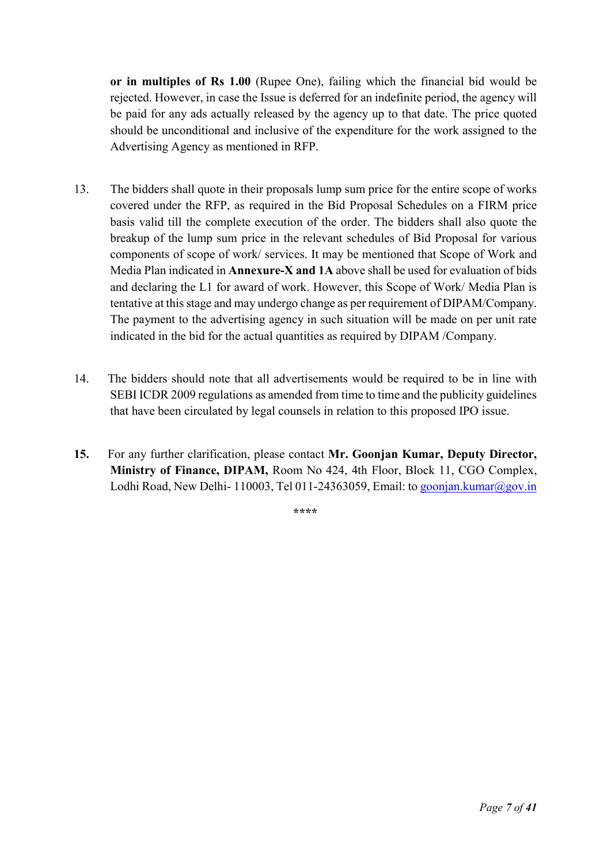or in multiples of Rs 1.00 (Rupee One), failing which the financial bid would be rejected. However, in case the Issue is deferred for an indefinite period, the agency will be paid for any ads actually released by the agency up to that date. The price quoted should be unconditional and inclusive of the expenditure for the work assigned to the Advertising Agency as mentioned in RFP.

- 13. The bidders shall quote in their proposals lump sum price for the entire scope of works covered under the RFP, as required in the Bid Proposal Schedules on a FIRM price basis valid till the complete execution of the order. The bidders shall also quote the breakup of the lump sum price in the relevant schedules of Bid Proposal for various components of scope of work/ services. It may be mentioned that Scope of Work and Media Plan indicated in Annexure-X and 1A above shall be used for evaluation of bids and declaring the L1 for award of work. However, this Scope of Work/ Media Plan is tentative at this stage and may undergo change as per requirement of DIPAM/Company. The payment to the advertising agency in such situation will be made on per unit rate indicated in the bid for the actual quantities as required by DIPAM /Company.
- 14. The bidders should note that all advertisements would be required to be in line with SEBI ICDR 2009 regulations as amended from time to time and the publicity guidelines that have been circulated by legal counsels in relation to this proposed IPO issue.
- 15. For any further clarification, please contact Mr. Goonjan Kumar, Deputy Director, Ministry of Finance, DIPAM, Room No 424, 4th Floor, Block 11, CGO Complex, Lodhi Road, New Delhi- 110003, Tel 011-24363059, Email: to goonjan.kumar@gov.in

\*\*\*\*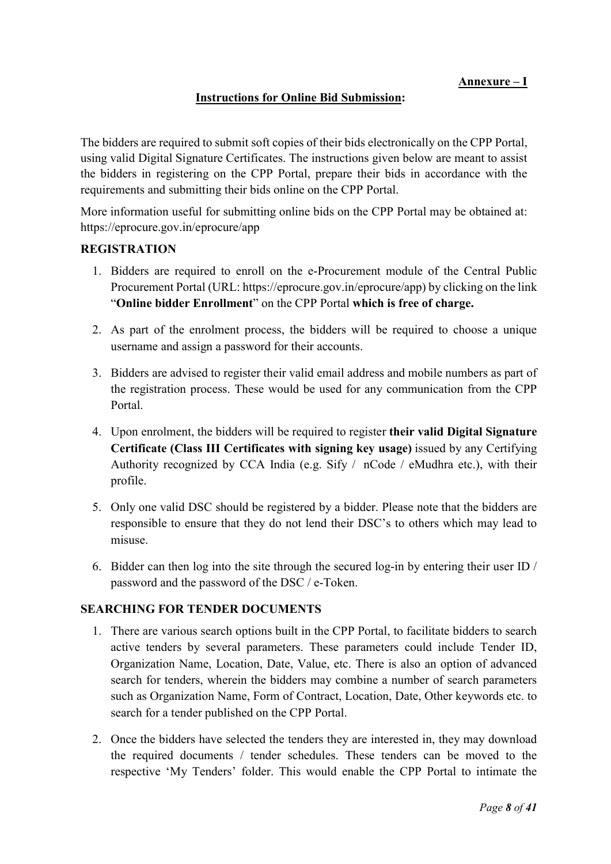### Instructions for Online Bid Submission:

The bidders are required to submit soft copies of their bids electronically on the CPP Portal, using valid Digital Signature Certificates. The instructions given below are meant to assist the bidders in registering on the CPP Portal, prepare their bids in accordance with the requirements and submitting their bids online on the CPP Portal.

More information useful for submitting online bids on the CPP Portal may be obtained at: https://eprocure.gov.in/eprocure/app

#### REGISTRATION

- 1. Bidders are required to enroll on the e-Procurement module of the Central Public Procurement Portal (URL: https://eprocure.gov.in/eprocure/app) by clicking on the link "Online bidder Enrollment" on the CPP Portal which is free of charge.
- 2. As part of the enrolment process, the bidders will be required to choose a unique username and assign a password for their accounts.
- 3. Bidders are advised to register their valid email address and mobile numbers as part of the registration process. These would be used for any communication from the CPP Portal.
- 4. Upon enrolment, the bidders will be required to register their valid Digital Signature Certificate (Class III Certificates with signing key usage) issued by any Certifying Authority recognized by CCA India (e.g. Sify / nCode / eMudhra etc.), with their profile.
- 5. Only one valid DSC should be registered by a bidder. Please note that the bidders are responsible to ensure that they do not lend their DSC's to others which may lead to misuse.
- 6. Bidder can then log into the site through the secured log-in by entering their user ID / password and the password of the DSC / e-Token.

#### SEARCHING FOR TENDER DOCUMENTS

- 1. There are various search options built in the CPP Portal, to facilitate bidders to search active tenders by several parameters. These parameters could include Tender ID, Organization Name, Location, Date, Value, etc. There is also an option of advanced search for tenders, wherein the bidders may combine a number of search parameters such as Organization Name, Form of Contract, Location, Date, Other keywords etc. to search for a tender published on the CPP Portal.
- 2. Once the bidders have selected the tenders they are interested in, they may download the required documents / tender schedules. These tenders can be moved to the respective 'My Tenders' folder. This would enable the CPP Portal to intimate the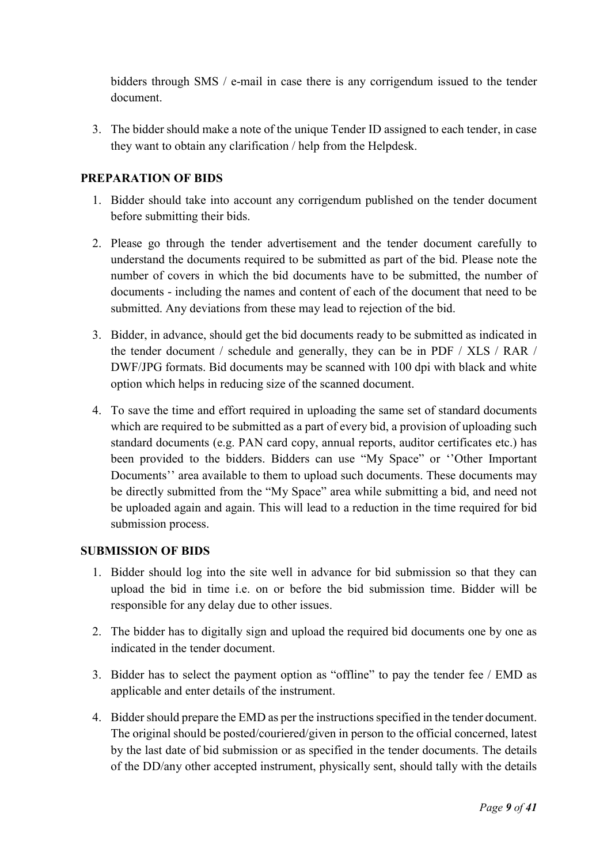bidders through SMS / e-mail in case there is any corrigendum issued to the tender document.

3. The bidder should make a note of the unique Tender ID assigned to each tender, in case they want to obtain any clarification / help from the Helpdesk.

### PREPARATION OF BIDS

- 1. Bidder should take into account any corrigendum published on the tender document before submitting their bids.
- 2. Please go through the tender advertisement and the tender document carefully to understand the documents required to be submitted as part of the bid. Please note the number of covers in which the bid documents have to be submitted, the number of documents - including the names and content of each of the document that need to be submitted. Any deviations from these may lead to rejection of the bid.
- 3. Bidder, in advance, should get the bid documents ready to be submitted as indicated in the tender document / schedule and generally, they can be in PDF / XLS / RAR / DWF/JPG formats. Bid documents may be scanned with 100 dpi with black and white option which helps in reducing size of the scanned document.
- 4. To save the time and effort required in uploading the same set of standard documents which are required to be submitted as a part of every bid, a provision of uploading such standard documents (e.g. PAN card copy, annual reports, auditor certificates etc.) has been provided to the bidders. Bidders can use "My Space" or ''Other Important Documents'' area available to them to upload such documents. These documents may be directly submitted from the "My Space" area while submitting a bid, and need not be uploaded again and again. This will lead to a reduction in the time required for bid submission process.

### SUBMISSION OF BIDS

- 1. Bidder should log into the site well in advance for bid submission so that they can upload the bid in time i.e. on or before the bid submission time. Bidder will be responsible for any delay due to other issues.
- 2. The bidder has to digitally sign and upload the required bid documents one by one as indicated in the tender document.
- 3. Bidder has to select the payment option as "offline" to pay the tender fee / EMD as applicable and enter details of the instrument.
- 4. Bidder should prepare the EMD as per the instructions specified in the tender document. The original should be posted/couriered/given in person to the official concerned, latest by the last date of bid submission or as specified in the tender documents. The details of the DD/any other accepted instrument, physically sent, should tally with the details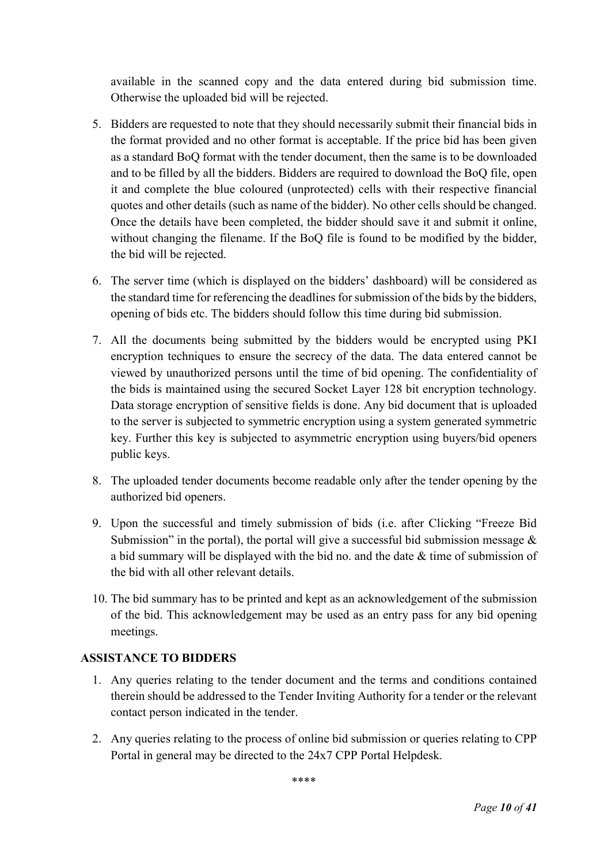available in the scanned copy and the data entered during bid submission time. Otherwise the uploaded bid will be rejected.

- 5. Bidders are requested to note that they should necessarily submit their financial bids in the format provided and no other format is acceptable. If the price bid has been given as a standard BoQ format with the tender document, then the same is to be downloaded and to be filled by all the bidders. Bidders are required to download the BoQ file, open it and complete the blue coloured (unprotected) cells with their respective financial quotes and other details (such as name of the bidder). No other cells should be changed. Once the details have been completed, the bidder should save it and submit it online, without changing the filename. If the BoQ file is found to be modified by the bidder, the bid will be rejected.
- 6. The server time (which is displayed on the bidders' dashboard) will be considered as the standard time for referencing the deadlines for submission of the bids by the bidders, opening of bids etc. The bidders should follow this time during bid submission.
- 7. All the documents being submitted by the bidders would be encrypted using PKI encryption techniques to ensure the secrecy of the data. The data entered cannot be viewed by unauthorized persons until the time of bid opening. The confidentiality of the bids is maintained using the secured Socket Layer 128 bit encryption technology. Data storage encryption of sensitive fields is done. Any bid document that is uploaded to the server is subjected to symmetric encryption using a system generated symmetric key. Further this key is subjected to asymmetric encryption using buyers/bid openers public keys.
- 8. The uploaded tender documents become readable only after the tender opening by the authorized bid openers.
- 9. Upon the successful and timely submission of bids (i.e. after Clicking "Freeze Bid Submission" in the portal), the portal will give a successful bid submission message  $\&$ a bid summary will be displayed with the bid no. and the date & time of submission of the bid with all other relevant details.
- 10. The bid summary has to be printed and kept as an acknowledgement of the submission of the bid. This acknowledgement may be used as an entry pass for any bid opening meetings.

### ASSISTANCE TO BIDDERS

- 1. Any queries relating to the tender document and the terms and conditions contained therein should be addressed to the Tender Inviting Authority for a tender or the relevant contact person indicated in the tender.
- 2. Any queries relating to the process of online bid submission or queries relating to CPP Portal in general may be directed to the 24x7 CPP Portal Helpdesk.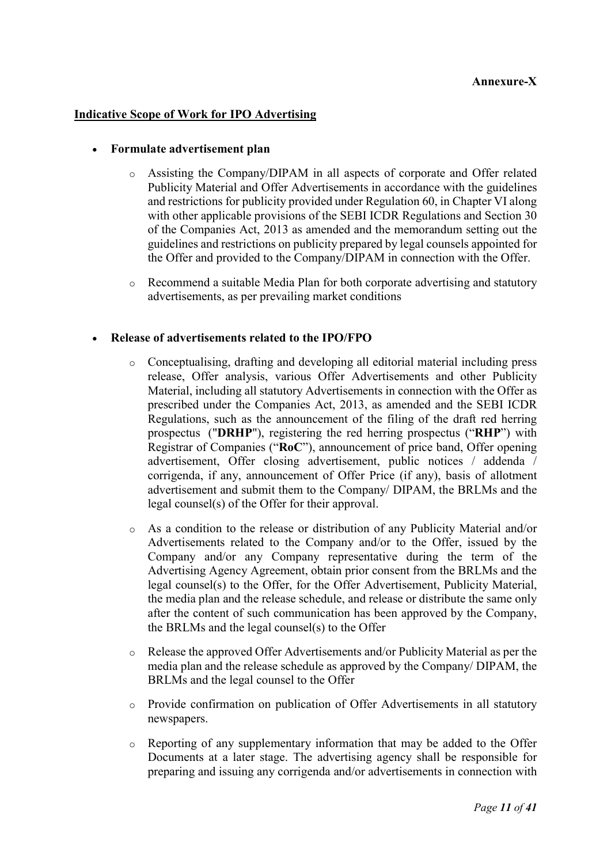# Annexure-X

#### Indicative Scope of Work for IPO Advertising

#### Formulate advertisement plan

- o Assisting the Company/DIPAM in all aspects of corporate and Offer related Publicity Material and Offer Advertisements in accordance with the guidelines and restrictions for publicity provided under Regulation 60, in Chapter VI along with other applicable provisions of the SEBI ICDR Regulations and Section 30 of the Companies Act, 2013 as amended and the memorandum setting out the guidelines and restrictions on publicity prepared by legal counsels appointed for the Offer and provided to the Company/DIPAM in connection with the Offer.
- o Recommend a suitable Media Plan for both corporate advertising and statutory advertisements, as per prevailing market conditions

#### Release of advertisements related to the IPO/FPO

- o Conceptualising, drafting and developing all editorial material including press release, Offer analysis, various Offer Advertisements and other Publicity Material, including all statutory Advertisements in connection with the Offer as prescribed under the Companies Act, 2013, as amended and the SEBI ICDR Regulations, such as the announcement of the filing of the draft red herring prospectus ("DRHP"), registering the red herring prospectus ("RHP") with Registrar of Companies ("RoC"), announcement of price band, Offer opening advertisement, Offer closing advertisement, public notices / addenda / corrigenda, if any, announcement of Offer Price (if any), basis of allotment advertisement and submit them to the Company/ DIPAM, the BRLMs and the legal counsel(s) of the Offer for their approval.
- o As a condition to the release or distribution of any Publicity Material and/or Advertisements related to the Company and/or to the Offer, issued by the Company and/or any Company representative during the term of the Advertising Agency Agreement, obtain prior consent from the BRLMs and the legal counsel(s) to the Offer, for the Offer Advertisement, Publicity Material, the media plan and the release schedule, and release or distribute the same only after the content of such communication has been approved by the Company, the BRLMs and the legal counsel(s) to the Offer
- o Release the approved Offer Advertisements and/or Publicity Material as per the media plan and the release schedule as approved by the Company/ DIPAM, the BRLMs and the legal counsel to the Offer
- o Provide confirmation on publication of Offer Advertisements in all statutory newspapers.
- $\circ$  Reporting of any supplementary information that may be added to the Offer Documents at a later stage. The advertising agency shall be responsible for preparing and issuing any corrigenda and/or advertisements in connection with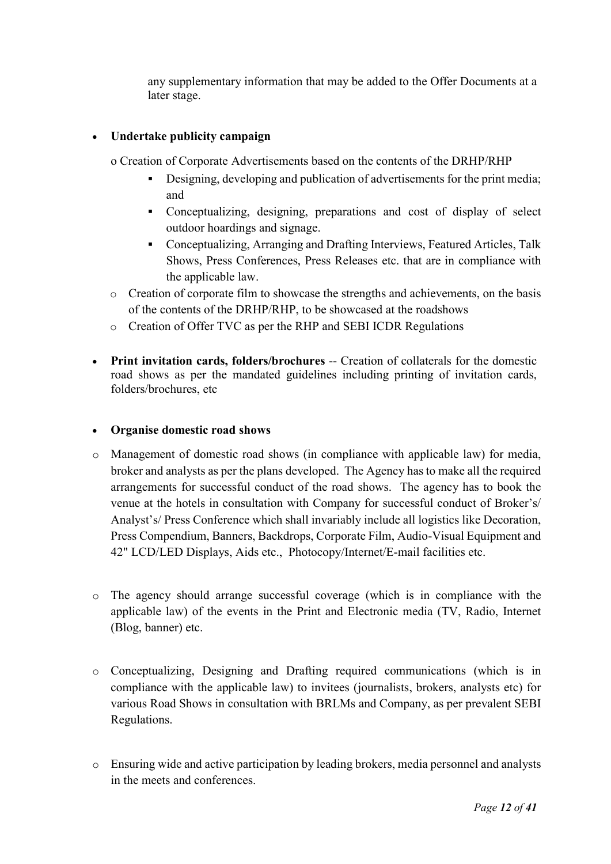any supplementary information that may be added to the Offer Documents at a later stage.

# Undertake publicity campaign

- o Creation of Corporate Advertisements based on the contents of the DRHP/RHP
	- Designing, developing and publication of advertisements for the print media; and
	- Conceptualizing, designing, preparations and cost of display of select outdoor hoardings and signage.
	- Conceptualizing, Arranging and Drafting Interviews, Featured Articles, Talk Shows, Press Conferences, Press Releases etc. that are in compliance with the applicable law.
- o Creation of corporate film to showcase the strengths and achievements, on the basis of the contents of the DRHP/RHP, to be showcased at the roadshows
- o Creation of Offer TVC as per the RHP and SEBI ICDR Regulations
- Print invitation cards, folders/brochures -- Creation of collaterals for the domestic road shows as per the mandated guidelines including printing of invitation cards, folders/brochures, etc

### Organise domestic road shows

- o Management of domestic road shows (in compliance with applicable law) for media, broker and analysts as per the plans developed. The Agency has to make all the required arrangements for successful conduct of the road shows. The agency has to book the venue at the hotels in consultation with Company for successful conduct of Broker's/ Analyst's/ Press Conference which shall invariably include all logistics like Decoration, Press Compendium, Banners, Backdrops, Corporate Film, Audio-Visual Equipment and 42" LCD/LED Displays, Aids etc., Photocopy/Internet/E-mail facilities etc.
- o The agency should arrange successful coverage (which is in compliance with the applicable law) of the events in the Print and Electronic media (TV, Radio, Internet (Blog, banner) etc.
- o Conceptualizing, Designing and Drafting required communications (which is in compliance with the applicable law) to invitees (journalists, brokers, analysts etc) for various Road Shows in consultation with BRLMs and Company, as per prevalent SEBI Regulations.
- o Ensuring wide and active participation by leading brokers, media personnel and analysts in the meets and conferences.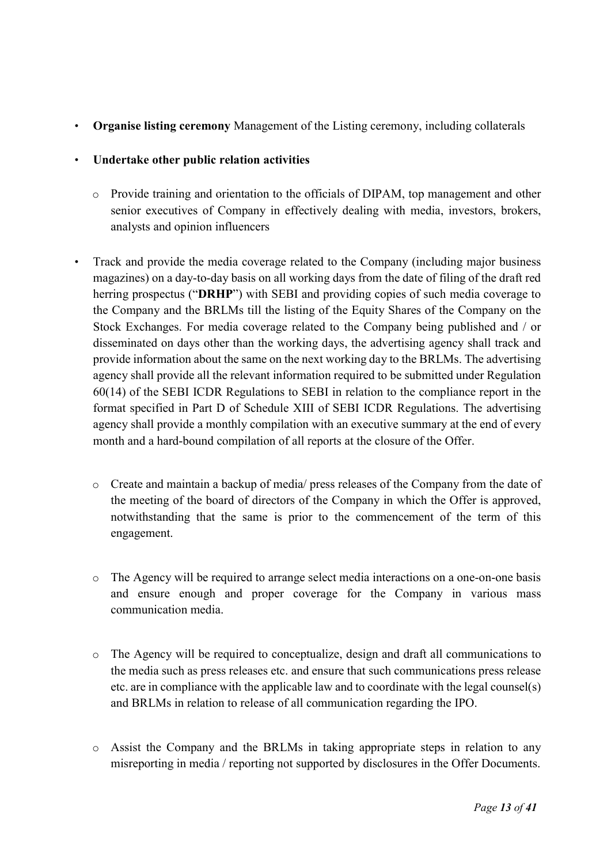• Organise listing ceremony Management of the Listing ceremony, including collaterals

### • Undertake other public relation activities

- o Provide training and orientation to the officials of DIPAM, top management and other senior executives of Company in effectively dealing with media, investors, brokers, analysts and opinion influencers
- Track and provide the media coverage related to the Company (including major business magazines) on a day-to-day basis on all working days from the date of filing of the draft red herring prospectus ("DRHP") with SEBI and providing copies of such media coverage to the Company and the BRLMs till the listing of the Equity Shares of the Company on the Stock Exchanges. For media coverage related to the Company being published and / or disseminated on days other than the working days, the advertising agency shall track and provide information about the same on the next working day to the BRLMs. The advertising agency shall provide all the relevant information required to be submitted under Regulation 60(14) of the SEBI ICDR Regulations to SEBI in relation to the compliance report in the format specified in Part D of Schedule XIII of SEBI ICDR Regulations. The advertising agency shall provide a monthly compilation with an executive summary at the end of every month and a hard-bound compilation of all reports at the closure of the Offer.
	- o Create and maintain a backup of media/ press releases of the Company from the date of the meeting of the board of directors of the Company in which the Offer is approved, notwithstanding that the same is prior to the commencement of the term of this engagement.
	- o The Agency will be required to arrange select media interactions on a one-on-one basis and ensure enough and proper coverage for the Company in various mass communication media.
	- o The Agency will be required to conceptualize, design and draft all communications to the media such as press releases etc. and ensure that such communications press release etc. are in compliance with the applicable law and to coordinate with the legal counsel(s) and BRLMs in relation to release of all communication regarding the IPO.
	- o Assist the Company and the BRLMs in taking appropriate steps in relation to any misreporting in media / reporting not supported by disclosures in the Offer Documents.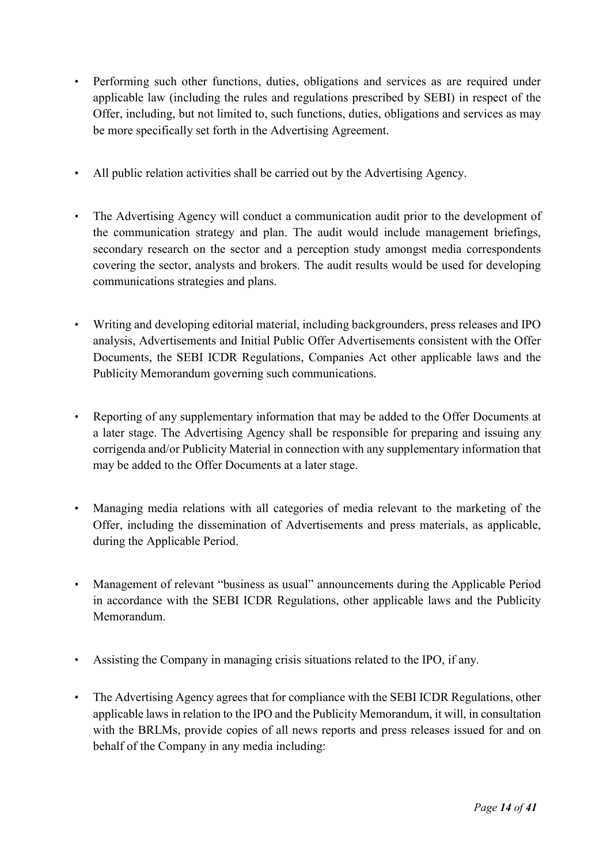- Performing such other functions, duties, obligations and services as are required under applicable law (including the rules and regulations prescribed by SEBI) in respect of the Offer, including, but not limited to, such functions, duties, obligations and services as may be more specifically set forth in the Advertising Agreement.
- All public relation activities shall be carried out by the Advertising Agency.
- The Advertising Agency will conduct a communication audit prior to the development of the communication strategy and plan. The audit would include management briefings, secondary research on the sector and a perception study amongst media correspondents covering the sector, analysts and brokers. The audit results would be used for developing communications strategies and plans.
- Writing and developing editorial material, including backgrounders, press releases and IPO analysis, Advertisements and Initial Public Offer Advertisements consistent with the Offer Documents, the SEBI ICDR Regulations, Companies Act other applicable laws and the Publicity Memorandum governing such communications.
- Reporting of any supplementary information that may be added to the Offer Documents at a later stage. The Advertising Agency shall be responsible for preparing and issuing any corrigenda and/or Publicity Material in connection with any supplementary information that may be added to the Offer Documents at a later stage.
- Managing media relations with all categories of media relevant to the marketing of the Offer, including the dissemination of Advertisements and press materials, as applicable, during the Applicable Period.
- Management of relevant "business as usual" announcements during the Applicable Period in accordance with the SEBI ICDR Regulations, other applicable laws and the Publicity Memorandum.
- Assisting the Company in managing crisis situations related to the IPO, if any.
- The Advertising Agency agrees that for compliance with the SEBI ICDR Regulations, other applicable laws in relation to the IPO and the Publicity Memorandum, it will, in consultation with the BRLMs, provide copies of all news reports and press releases issued for and on behalf of the Company in any media including: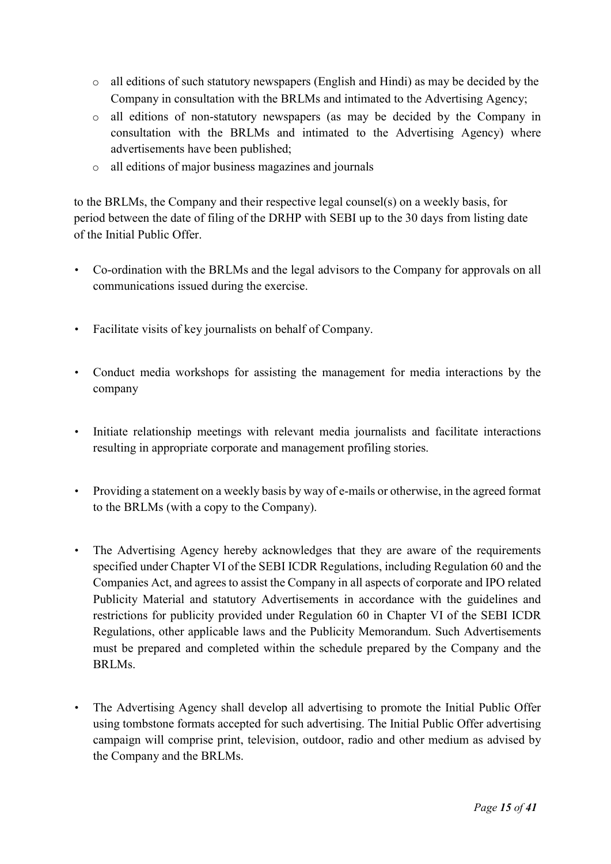- o all editions of such statutory newspapers (English and Hindi) as may be decided by the Company in consultation with the BRLMs and intimated to the Advertising Agency;
- o all editions of non-statutory newspapers (as may be decided by the Company in consultation with the BRLMs and intimated to the Advertising Agency) where advertisements have been published;
- o all editions of major business magazines and journals

to the BRLMs, the Company and their respective legal counsel(s) on a weekly basis, for period between the date of filing of the DRHP with SEBI up to the 30 days from listing date of the Initial Public Offer.

- Co-ordination with the BRLMs and the legal advisors to the Company for approvals on all communications issued during the exercise.
- Facilitate visits of key journalists on behalf of Company.
- Conduct media workshops for assisting the management for media interactions by the company
- Initiate relationship meetings with relevant media journalists and facilitate interactions resulting in appropriate corporate and management profiling stories.
- Providing a statement on a weekly basis by way of e-mails or otherwise, in the agreed format to the BRLMs (with a copy to the Company).
- The Advertising Agency hereby acknowledges that they are aware of the requirements specified under Chapter VI of the SEBI ICDR Regulations, including Regulation 60 and the Companies Act, and agrees to assist the Company in all aspects of corporate and IPO related Publicity Material and statutory Advertisements in accordance with the guidelines and restrictions for publicity provided under Regulation 60 in Chapter VI of the SEBI ICDR Regulations, other applicable laws and the Publicity Memorandum. Such Advertisements must be prepared and completed within the schedule prepared by the Company and the BRLMs.
- The Advertising Agency shall develop all advertising to promote the Initial Public Offer using tombstone formats accepted for such advertising. The Initial Public Offer advertising campaign will comprise print, television, outdoor, radio and other medium as advised by the Company and the BRLMs.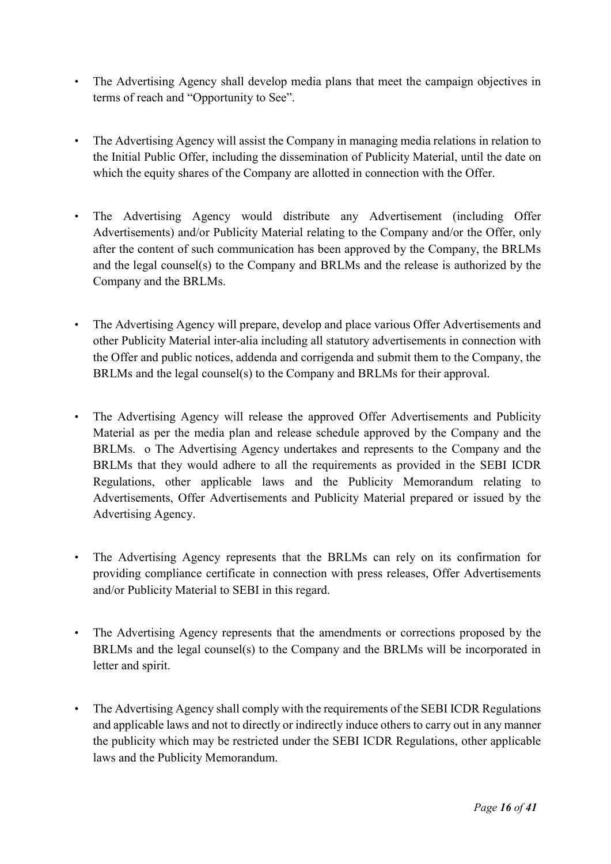- The Advertising Agency shall develop media plans that meet the campaign objectives in terms of reach and "Opportunity to See".
- The Advertising Agency will assist the Company in managing media relations in relation to the Initial Public Offer, including the dissemination of Publicity Material, until the date on which the equity shares of the Company are allotted in connection with the Offer.
- The Advertising Agency would distribute any Advertisement (including Offer Advertisements) and/or Publicity Material relating to the Company and/or the Offer, only after the content of such communication has been approved by the Company, the BRLMs and the legal counsel(s) to the Company and BRLMs and the release is authorized by the Company and the BRLMs.
- The Advertising Agency will prepare, develop and place various Offer Advertisements and other Publicity Material inter-alia including all statutory advertisements in connection with the Offer and public notices, addenda and corrigenda and submit them to the Company, the BRLMs and the legal counsel(s) to the Company and BRLMs for their approval.
- The Advertising Agency will release the approved Offer Advertisements and Publicity Material as per the media plan and release schedule approved by the Company and the BRLMs. o The Advertising Agency undertakes and represents to the Company and the BRLMs that they would adhere to all the requirements as provided in the SEBI ICDR Regulations, other applicable laws and the Publicity Memorandum relating to Advertisements, Offer Advertisements and Publicity Material prepared or issued by the Advertising Agency.
- The Advertising Agency represents that the BRLMs can rely on its confirmation for providing compliance certificate in connection with press releases, Offer Advertisements and/or Publicity Material to SEBI in this regard.
- The Advertising Agency represents that the amendments or corrections proposed by the BRLMs and the legal counsel(s) to the Company and the BRLMs will be incorporated in letter and spirit.
- The Advertising Agency shall comply with the requirements of the SEBI ICDR Regulations and applicable laws and not to directly or indirectly induce others to carry out in any manner the publicity which may be restricted under the SEBI ICDR Regulations, other applicable laws and the Publicity Memorandum.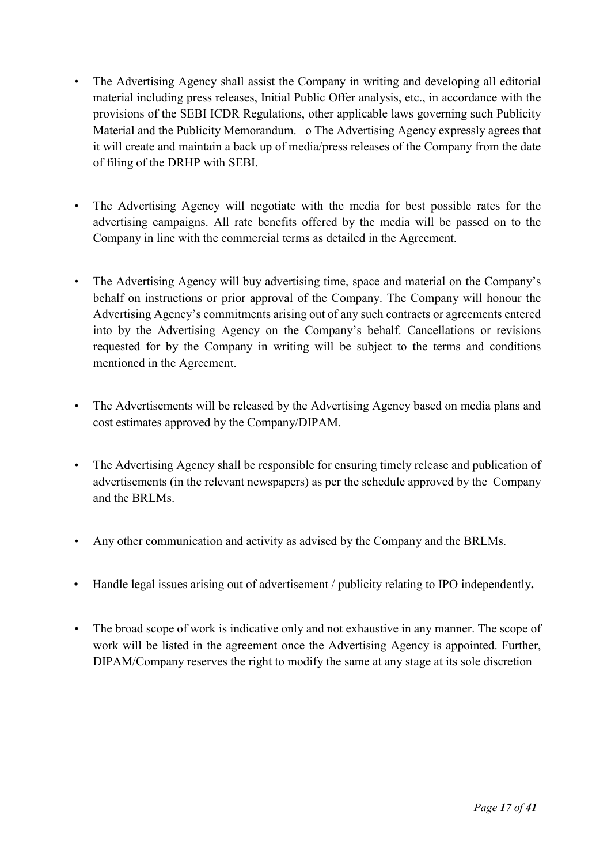- The Advertising Agency shall assist the Company in writing and developing all editorial material including press releases, Initial Public Offer analysis, etc., in accordance with the provisions of the SEBI ICDR Regulations, other applicable laws governing such Publicity Material and the Publicity Memorandum. o The Advertising Agency expressly agrees that it will create and maintain a back up of media/press releases of the Company from the date of filing of the DRHP with SEBI.
- The Advertising Agency will negotiate with the media for best possible rates for the advertising campaigns. All rate benefits offered by the media will be passed on to the Company in line with the commercial terms as detailed in the Agreement.
- The Advertising Agency will buy advertising time, space and material on the Company's behalf on instructions or prior approval of the Company. The Company will honour the Advertising Agency's commitments arising out of any such contracts or agreements entered into by the Advertising Agency on the Company's behalf. Cancellations or revisions requested for by the Company in writing will be subject to the terms and conditions mentioned in the Agreement.
- The Advertisements will be released by the Advertising Agency based on media plans and cost estimates approved by the Company/DIPAM.
- The Advertising Agency shall be responsible for ensuring timely release and publication of advertisements (in the relevant newspapers) as per the schedule approved by the Company and the BRLMs.
- Any other communication and activity as advised by the Company and the BRLMs.
- Handle legal issues arising out of advertisement / publicity relating to IPO independently.
- The broad scope of work is indicative only and not exhaustive in any manner. The scope of work will be listed in the agreement once the Advertising Agency is appointed. Further, DIPAM/Company reserves the right to modify the same at any stage at its sole discretion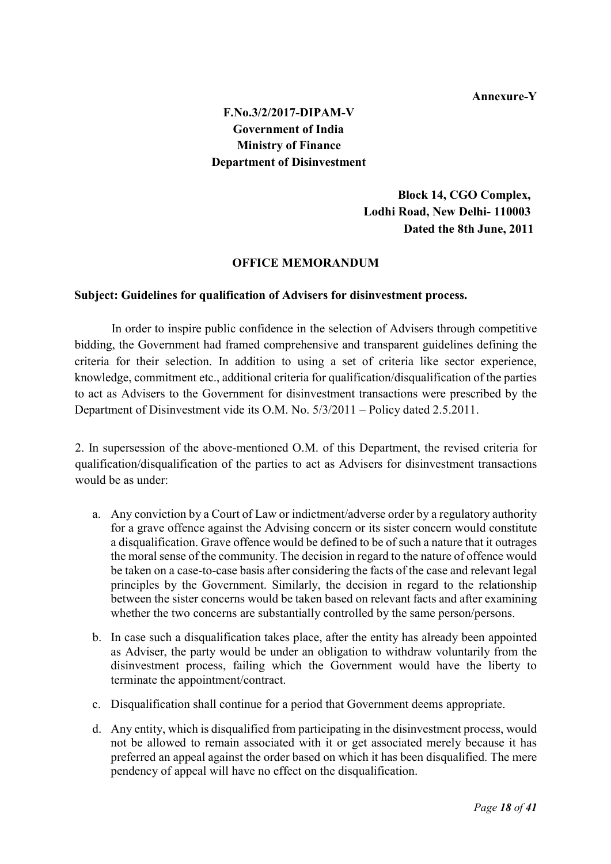#### Annexure-Y

# F.No.3/2/2017-DIPAM-V Government of India Ministry of Finance Department of Disinvestment

 Block 14, CGO Complex, Lodhi Road, New Delhi- 110003 Dated the 8th June, 2011

#### OFFICE MEMORANDUM

#### Subject: Guidelines for qualification of Advisers for disinvestment process.

In order to inspire public confidence in the selection of Advisers through competitive bidding, the Government had framed comprehensive and transparent guidelines defining the criteria for their selection. In addition to using a set of criteria like sector experience, knowledge, commitment etc., additional criteria for qualification/disqualification of the parties to act as Advisers to the Government for disinvestment transactions were prescribed by the Department of Disinvestment vide its O.M. No. 5/3/2011 – Policy dated 2.5.2011.

2. In supersession of the above-mentioned O.M. of this Department, the revised criteria for qualification/disqualification of the parties to act as Advisers for disinvestment transactions would be as under:

- a. Any conviction by a Court of Law or indictment/adverse order by a regulatory authority for a grave offence against the Advising concern or its sister concern would constitute a disqualification. Grave offence would be defined to be of such a nature that it outrages the moral sense of the community. The decision in regard to the nature of offence would be taken on a case-to-case basis after considering the facts of the case and relevant legal principles by the Government. Similarly, the decision in regard to the relationship between the sister concerns would be taken based on relevant facts and after examining whether the two concerns are substantially controlled by the same person/persons.
- b. In case such a disqualification takes place, after the entity has already been appointed as Adviser, the party would be under an obligation to withdraw voluntarily from the disinvestment process, failing which the Government would have the liberty to terminate the appointment/contract.
- c. Disqualification shall continue for a period that Government deems appropriate.
- d. Any entity, which is disqualified from participating in the disinvestment process, would not be allowed to remain associated with it or get associated merely because it has preferred an appeal against the order based on which it has been disqualified. The mere pendency of appeal will have no effect on the disqualification.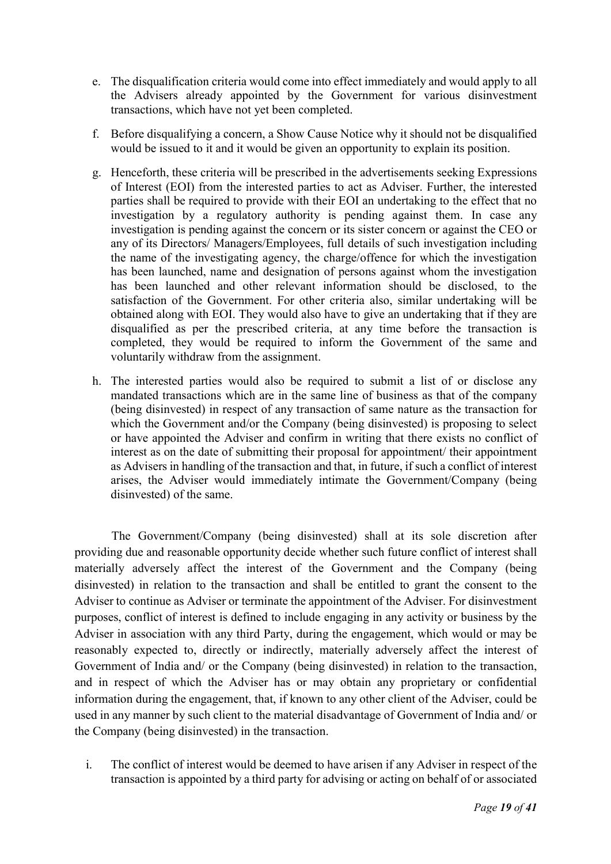- e. The disqualification criteria would come into effect immediately and would apply to all the Advisers already appointed by the Government for various disinvestment transactions, which have not yet been completed.
- f. Before disqualifying a concern, a Show Cause Notice why it should not be disqualified would be issued to it and it would be given an opportunity to explain its position.
- g. Henceforth, these criteria will be prescribed in the advertisements seeking Expressions of Interest (EOI) from the interested parties to act as Adviser. Further, the interested parties shall be required to provide with their EOI an undertaking to the effect that no investigation by a regulatory authority is pending against them. In case any investigation is pending against the concern or its sister concern or against the CEO or any of its Directors/ Managers/Employees, full details of such investigation including the name of the investigating agency, the charge/offence for which the investigation has been launched, name and designation of persons against whom the investigation has been launched and other relevant information should be disclosed, to the satisfaction of the Government. For other criteria also, similar undertaking will be obtained along with EOI. They would also have to give an undertaking that if they are disqualified as per the prescribed criteria, at any time before the transaction is completed, they would be required to inform the Government of the same and voluntarily withdraw from the assignment.
- h. The interested parties would also be required to submit a list of or disclose any mandated transactions which are in the same line of business as that of the company (being disinvested) in respect of any transaction of same nature as the transaction for which the Government and/or the Company (being disinvested) is proposing to select or have appointed the Adviser and confirm in writing that there exists no conflict of interest as on the date of submitting their proposal for appointment/ their appointment as Advisers in handling of the transaction and that, in future, if such a conflict of interest arises, the Adviser would immediately intimate the Government/Company (being disinvested) of the same.

The Government/Company (being disinvested) shall at its sole discretion after providing due and reasonable opportunity decide whether such future conflict of interest shall materially adversely affect the interest of the Government and the Company (being disinvested) in relation to the transaction and shall be entitled to grant the consent to the Adviser to continue as Adviser or terminate the appointment of the Adviser. For disinvestment purposes, conflict of interest is defined to include engaging in any activity or business by the Adviser in association with any third Party, during the engagement, which would or may be reasonably expected to, directly or indirectly, materially adversely affect the interest of Government of India and/ or the Company (being disinvested) in relation to the transaction, and in respect of which the Adviser has or may obtain any proprietary or confidential information during the engagement, that, if known to any other client of the Adviser, could be used in any manner by such client to the material disadvantage of Government of India and/ or the Company (being disinvested) in the transaction.

i. The conflict of interest would be deemed to have arisen if any Adviser in respect of the transaction is appointed by a third party for advising or acting on behalf of or associated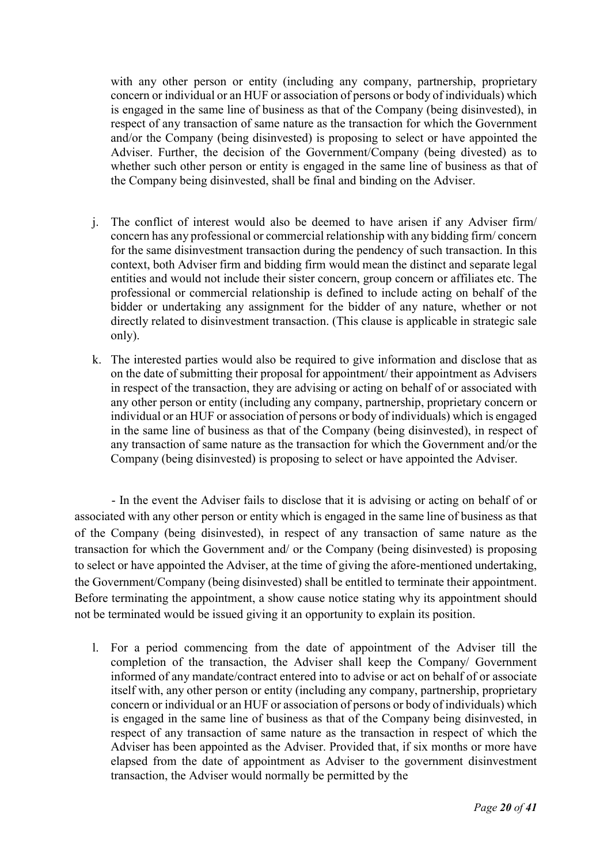with any other person or entity (including any company, partnership, proprietary concern or individual or an HUF or association of persons or body of individuals) which is engaged in the same line of business as that of the Company (being disinvested), in respect of any transaction of same nature as the transaction for which the Government and/or the Company (being disinvested) is proposing to select or have appointed the Adviser. Further, the decision of the Government/Company (being divested) as to whether such other person or entity is engaged in the same line of business as that of the Company being disinvested, shall be final and binding on the Adviser.

- j. The conflict of interest would also be deemed to have arisen if any Adviser firm/ concern has any professional or commercial relationship with any bidding firm/ concern for the same disinvestment transaction during the pendency of such transaction. In this context, both Adviser firm and bidding firm would mean the distinct and separate legal entities and would not include their sister concern, group concern or affiliates etc. The professional or commercial relationship is defined to include acting on behalf of the bidder or undertaking any assignment for the bidder of any nature, whether or not directly related to disinvestment transaction. (This clause is applicable in strategic sale only).
- k. The interested parties would also be required to give information and disclose that as on the date of submitting their proposal for appointment/ their appointment as Advisers in respect of the transaction, they are advising or acting on behalf of or associated with any other person or entity (including any company, partnership, proprietary concern or individual or an HUF or association of persons or body of individuals) which is engaged in the same line of business as that of the Company (being disinvested), in respect of any transaction of same nature as the transaction for which the Government and/or the Company (being disinvested) is proposing to select or have appointed the Adviser.

- In the event the Adviser fails to disclose that it is advising or acting on behalf of or associated with any other person or entity which is engaged in the same line of business as that of the Company (being disinvested), in respect of any transaction of same nature as the transaction for which the Government and/ or the Company (being disinvested) is proposing to select or have appointed the Adviser, at the time of giving the afore-mentioned undertaking, the Government/Company (being disinvested) shall be entitled to terminate their appointment. Before terminating the appointment, a show cause notice stating why its appointment should not be terminated would be issued giving it an opportunity to explain its position.

l. For a period commencing from the date of appointment of the Adviser till the completion of the transaction, the Adviser shall keep the Company/ Government informed of any mandate/contract entered into to advise or act on behalf of or associate itself with, any other person or entity (including any company, partnership, proprietary concern or individual or an HUF or association of persons or body of individuals) which is engaged in the same line of business as that of the Company being disinvested, in respect of any transaction of same nature as the transaction in respect of which the Adviser has been appointed as the Adviser. Provided that, if six months or more have elapsed from the date of appointment as Adviser to the government disinvestment transaction, the Adviser would normally be permitted by the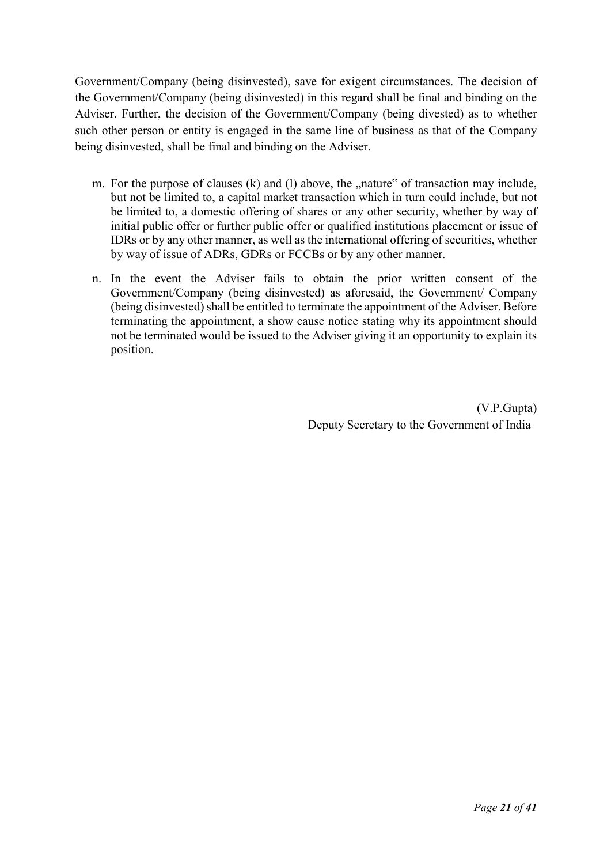Government/Company (being disinvested), save for exigent circumstances. The decision of the Government/Company (being disinvested) in this regard shall be final and binding on the Adviser. Further, the decision of the Government/Company (being divested) as to whether such other person or entity is engaged in the same line of business as that of the Company being disinvested, shall be final and binding on the Adviser.

- m. For the purpose of clauses  $(k)$  and  $(l)$  above, the  $n$ , nature" of transaction may include, but not be limited to, a capital market transaction which in turn could include, but not be limited to, a domestic offering of shares or any other security, whether by way of initial public offer or further public offer or qualified institutions placement or issue of IDRs or by any other manner, as well as the international offering of securities, whether by way of issue of ADRs, GDRs or FCCBs or by any other manner.
- n. In the event the Adviser fails to obtain the prior written consent of the Government/Company (being disinvested) as aforesaid, the Government/ Company (being disinvested) shall be entitled to terminate the appointment of the Adviser. Before terminating the appointment, a show cause notice stating why its appointment should not be terminated would be issued to the Adviser giving it an opportunity to explain its position.

 (V.P.Gupta) Deputy Secretary to the Government of India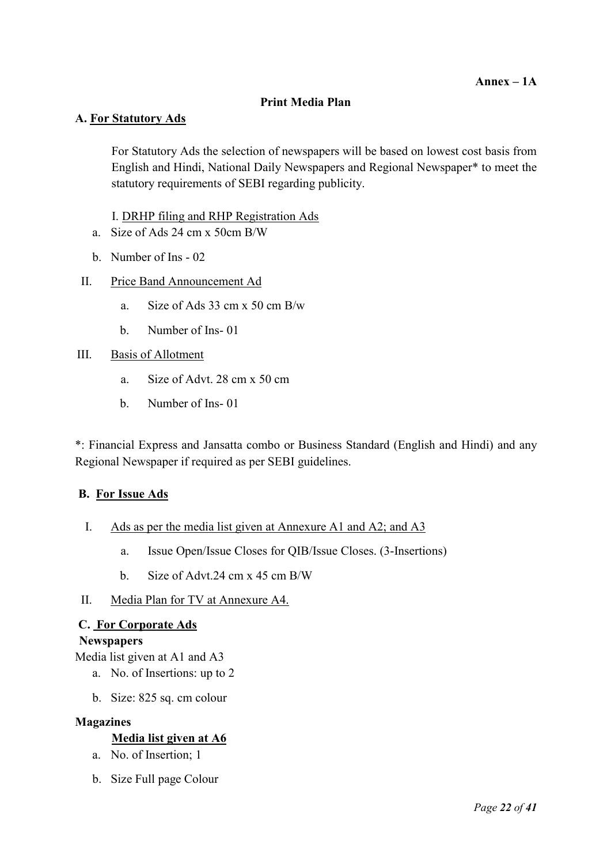#### Print Media Plan

### A. For Statutory Ads

For Statutory Ads the selection of newspapers will be based on lowest cost basis from English and Hindi, National Daily Newspapers and Regional Newspaper\* to meet the statutory requirements of SEBI regarding publicity.

I. DRHP filing and RHP Registration Ads

- a. Size of Ads 24 cm x 50cm B/W
- b. Number of Ins 02
- II. Price Band Announcement Ad
	- a. Size of Ads 33 cm x 50 cm B/w
	- b. Number of Ins- 01

#### III. Basis of Allotment

- a. Size of Advt. 28 cm x 50 cm
- b. Number of Ins- 01

\*: Financial Express and Jansatta combo or Business Standard (English and Hindi) and any Regional Newspaper if required as per SEBI guidelines.

#### B. For Issue Ads

- I. Ads as per the media list given at Annexure A1 and A2; and A3
	- a. Issue Open/Issue Closes for QIB/Issue Closes. (3-Insertions)
	- b. Size of Advt.24 cm x 45 cm B/W
- II. Media Plan for TV at Annexure A4.

### C. For Corporate Ads

#### **Newspapers**

Media list given at A1 and A3

- a. No. of Insertions: up to 2
- b. Size: 825 sq. cm colour

#### Magazines

### Media list given at A6

- a. No. of Insertion; 1
- b. Size Full page Colour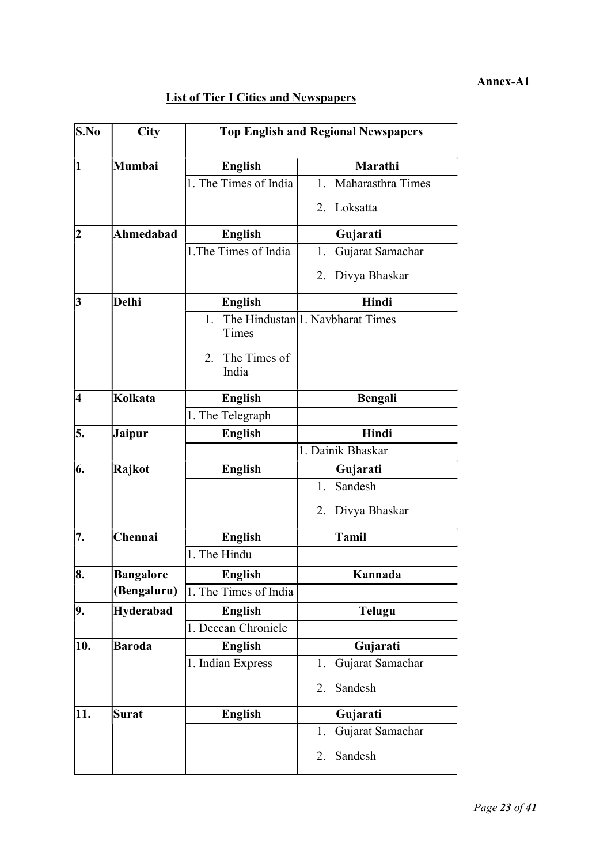#### Annex-A1

# **List of Tier I Cities and Newspapers**

| $\mathbf{S}.\mathbf{No}$ | <b>City</b>      | <b>Top English and Regional Newspapers</b> |                                               |  |  |
|--------------------------|------------------|--------------------------------------------|-----------------------------------------------|--|--|
| 1                        | Mumbai           | <b>English</b>                             | Marathi                                       |  |  |
|                          |                  | 1. The Times of India                      | Maharasthra Times<br>1.                       |  |  |
|                          |                  |                                            | Loksatta<br>2.                                |  |  |
| 2                        | Ahmedabad        | <b>English</b>                             | Gujarati                                      |  |  |
|                          |                  | 1. The Times of India                      | Gujarat Samachar<br>1.                        |  |  |
|                          |                  |                                            | Divya Bhaskar<br>2.                           |  |  |
| 3                        | <b>Delhi</b>     | <b>English</b>                             | Hindi                                         |  |  |
|                          |                  | 1.<br>Times<br>The Times of<br>2.<br>India | The Hindustan <sup> </sup> 1. Navbharat Times |  |  |
| 4                        | Kolkata          | <b>English</b>                             | <b>Bengali</b>                                |  |  |
|                          |                  | 1. The Telegraph                           |                                               |  |  |
| 5.                       | <b>Jaipur</b>    | <b>English</b>                             | Hindi                                         |  |  |
|                          |                  |                                            | 1. Dainik Bhaskar                             |  |  |
| 6.                       | Rajkot           | <b>English</b>                             | Gujarati                                      |  |  |
|                          |                  |                                            | Sandesh<br>1.                                 |  |  |
|                          |                  |                                            | Divya Bhaskar<br>2.                           |  |  |
| 7.                       | Chennai          | <b>English</b>                             | <b>Tamil</b>                                  |  |  |
|                          |                  | 1. The Hindu                               |                                               |  |  |
| 8.                       | <b>Bangalore</b> | <b>English</b>                             | Kannada                                       |  |  |
|                          | (Bengaluru)      | 1. The Times of India                      |                                               |  |  |
| 9.                       | Hyderabad        | <b>English</b>                             | <b>Telugu</b>                                 |  |  |
|                          |                  | 1. Deccan Chronicle                        |                                               |  |  |
| 10.                      | <b>Baroda</b>    | <b>English</b>                             | Gujarati                                      |  |  |
|                          |                  | 1. Indian Express                          | Gujarat Samachar<br>1.                        |  |  |
|                          |                  |                                            | Sandesh<br>2.                                 |  |  |
| 11.                      | <b>Surat</b>     | <b>English</b>                             | Gujarati                                      |  |  |
|                          |                  |                                            | Gujarat Samachar<br>1.                        |  |  |
|                          |                  |                                            | Sandesh<br>2.                                 |  |  |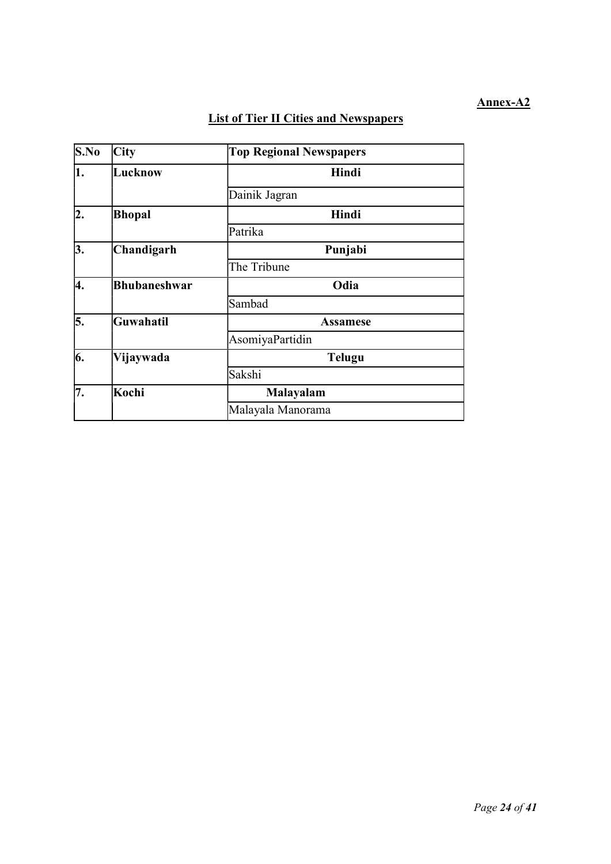### Annex-A2

# List of Tier II Cities and Newspapers

| S.No | City                | <b>Top Regional Newspapers</b> |
|------|---------------------|--------------------------------|
| 1.   | Lucknow             | Hindi                          |
|      |                     | Dainik Jagran                  |
| 2.   | Bhopal              | Hindi                          |
|      |                     | Patrika                        |
| 3.   | Chandigarh          | Punjabi                        |
|      |                     | The Tribune                    |
| 4.   | <b>Bhubaneshwar</b> | Odia                           |
|      |                     | Sambad                         |
| 5.   | Guwahatil           | <b>Assamese</b>                |
|      |                     | AsomiyaPartidin                |
| 6.   | Vijaywada           | <b>Telugu</b>                  |
|      |                     | Sakshi                         |
| 7.   | Kochi               | Malayalam                      |
|      |                     | Malayala Manorama              |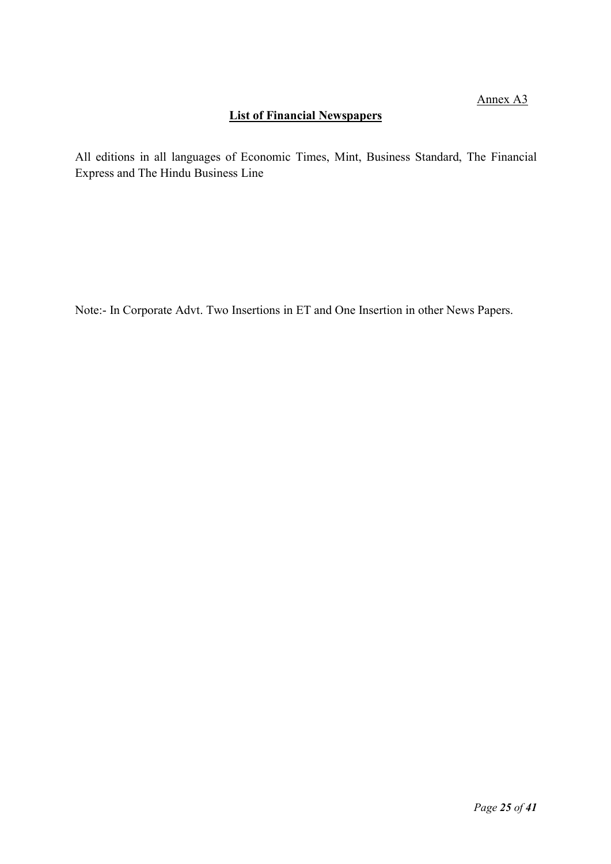# List of Financial Newspapers

All editions in all languages of Economic Times, Mint, Business Standard, The Financial Express and The Hindu Business Line

Note:- In Corporate Advt. Two Insertions in ET and One Insertion in other News Papers.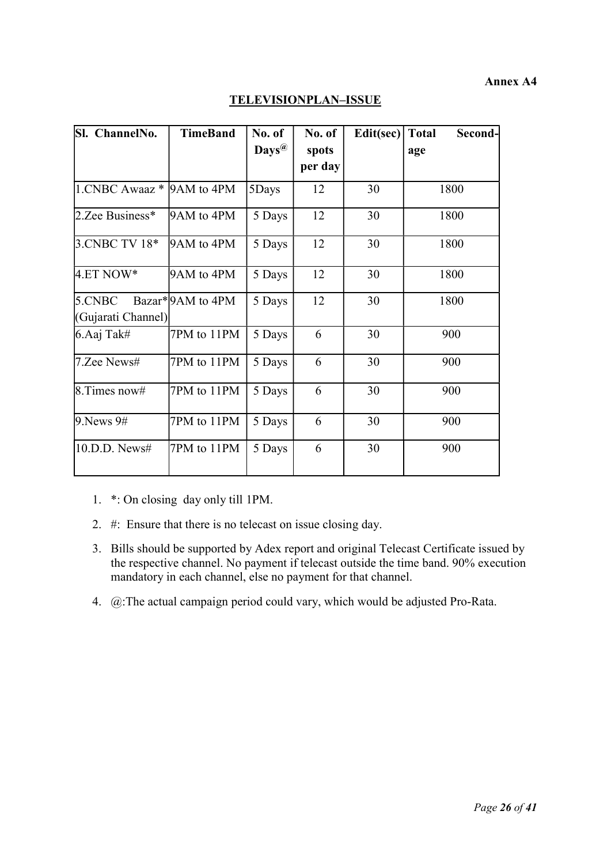#### Annex A4

| Sl. ChannelNo.                 | <b>TimeBand</b>  | No. of            | No. of  | Edit(sec) Total | Second- |
|--------------------------------|------------------|-------------------|---------|-----------------|---------|
|                                |                  | $\mathbf{Days}^@$ | spots   |                 | age     |
|                                |                  |                   | per day |                 |         |
| $1.$ CNBC Awaaz $*$ 9AM to 4PM |                  | 5Days             | 12      | 30              | 1800    |
| 2.Zee Business*                | 9AM to 4PM       | 5 Days            | 12      | 30              | 1800    |
| 3. CNBC TV 18*                 | 9AM to 4PM       | 5 Days            | 12      | 30              | 1800    |
| $4.ET NOW*$                    | 9AM to 4PM       | 5 Days            | 12      | 30              | 1800    |
| 5.CNBC                         | Bazar*9AM to 4PM | 5 Days            | 12      | 30              | 1800    |
| (Gujarati Channel)             |                  |                   |         |                 |         |
| 6.Aaj Tak#                     | 7PM to 11PM      | 5 Days            | 6       | 30              | 900     |
| 7.Zee News#                    | 7PM to 11PM      | 5 Days            | 6       | 30              | 900     |
| $8.$ Times now#                | 7PM to 11PM      | 5 Days            | 6       | 30              | 900     |
| 9. News 9#                     | 7PM to 11PM      | 5 Days            | 6       | 30              | 900     |
| 10.D.D. News#                  | 7PM to 11PM      | 5 Days            | 6       | 30              | 900     |

# TELEVISIONPLAN–ISSUE

1. \*: On closing day only till 1PM.

- 2. #: Ensure that there is no telecast on issue closing day.
- 3. Bills should be supported by Adex report and original Telecast Certificate issued by the respective channel. No payment if telecast outside the time band. 90% execution mandatory in each channel, else no payment for that channel.
- 4. @:The actual campaign period could vary, which would be adjusted Pro-Rata.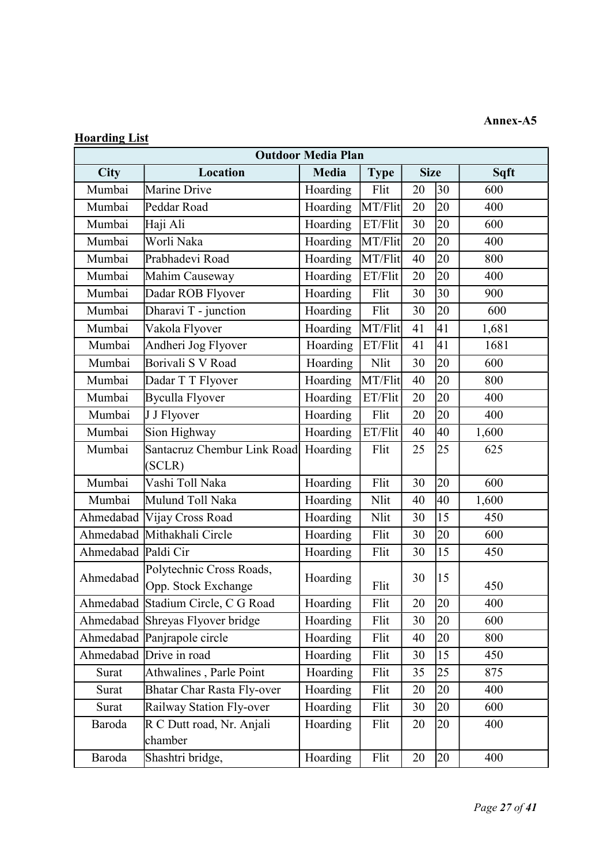# Annex-A5

# Hoarding List

|                     | <b>Outdoor Media Plan</b>          |              |             |                     |    |       |  |
|---------------------|------------------------------------|--------------|-------------|---------------------|----|-------|--|
| <b>City</b>         | Location                           | <b>Media</b> | <b>Type</b> | <b>Size</b><br>Sqft |    |       |  |
| Mumbai              | Marine Drive                       | Hoarding     | Flit        | 20                  | 30 | 600   |  |
| Mumbai              | Peddar Road                        | Hoarding     | MT/Flit     | 20                  | 20 | 400   |  |
| Mumbai              | Haji Ali                           | Hoarding     | ET/Flit     | 30                  | 20 | 600   |  |
| Mumbai              | Worli Naka                         | Hoarding     | MT/Flit     | 20                  | 20 | 400   |  |
| Mumbai              | Prabhadevi Road                    | Hoarding     | MT/Flit     | 40                  | 20 | 800   |  |
| Mumbai              | Mahim Causeway                     | Hoarding     | ET/Flit     | 20                  | 20 | 400   |  |
| Mumbai              | Dadar ROB Flyover                  | Hoarding     | Flit        | 30                  | 30 | 900   |  |
| Mumbai              | Dharavi T - junction               | Hoarding     | Flit        | 30                  | 20 | 600   |  |
| Mumbai              | Vakola Flyover                     | Hoarding     | MT/Flit     | 41                  | 41 | 1,681 |  |
| Mumbai              | Andheri Jog Flyover                | Hoarding     | ET/Flit     | 41                  | 41 | 1681  |  |
| Mumbai              | Borivali S V Road                  | Hoarding     | Nlit        | 30                  | 20 | 600   |  |
| Mumbai              | Dadar T T Flyover                  | Hoarding     | MT/Flit     | 40                  | 20 | 800   |  |
| Mumbai              | <b>Byculla Flyover</b>             | Hoarding     | ET/Flit     | 20                  | 20 | 400   |  |
| Mumbai              | J J Flyover                        | Hoarding     | Flit        | 20                  | 20 | 400   |  |
| Mumbai              | Sion Highway                       | Hoarding     | ET/Flit     | 40                  | 40 | 1,600 |  |
| Mumbai              | Santacruz Chembur Link Road        | Hoarding     | Flit        | 25                  | 25 | 625   |  |
|                     | (SCLR)                             |              |             |                     |    |       |  |
| Mumbai              | Vashi Toll Naka                    | Hoarding     | Flit        | 30                  | 20 | 600   |  |
| Mumbai              | Mulund Toll Naka                   | Hoarding     | Nlit        | 40                  | 40 | 1,600 |  |
|                     | Ahmedabad Vijay Cross Road         | Hoarding     | Nlit        | 30                  | 15 | 450   |  |
|                     | Ahmedabad Mithakhali Circle        | Hoarding     | Flit        | 30                  | 20 | 600   |  |
| Ahmedabad Paldi Cir |                                    | Hoarding     | Flit        | 30                  | 15 | 450   |  |
|                     | Polytechnic Cross Roads,           |              |             |                     |    |       |  |
| Ahmedabad           | Opp. Stock Exchange                | Hoarding     | Flit        | 30                  | 15 | 450   |  |
|                     | Ahmedabad Stadium Circle, C G Road | Hoarding     | Flit        | 20                  | 20 | 400   |  |
|                     | Ahmedabad Shreyas Flyover bridge   | Hoarding     | Flit        | 30                  | 20 | 600   |  |
|                     | Ahmedabad Panjrapole circle        | Hoarding     | Flit        | 40                  | 20 | 800   |  |
|                     | Ahmedabad Drive in road            | Hoarding     | Flit        | 30                  | 15 | 450   |  |
| Surat               | Athwalines, Parle Point            | Hoarding     | Flit        | 35                  | 25 | 875   |  |
| Surat               | <b>Bhatar Char Rasta Fly-over</b>  | Hoarding     | Flit        | 20                  | 20 | 400   |  |
| Surat               | Railway Station Fly-over           | Hoarding     | Flit        | 30                  | 20 | 600   |  |
| Baroda              | R C Dutt road, Nr. Anjali          | Hoarding     | Flit        | 20                  | 20 | 400   |  |
|                     | chamber                            |              |             |                     |    |       |  |
| Baroda              | Shashtri bridge,                   | Hoarding     | Flit        | 20                  | 20 | 400   |  |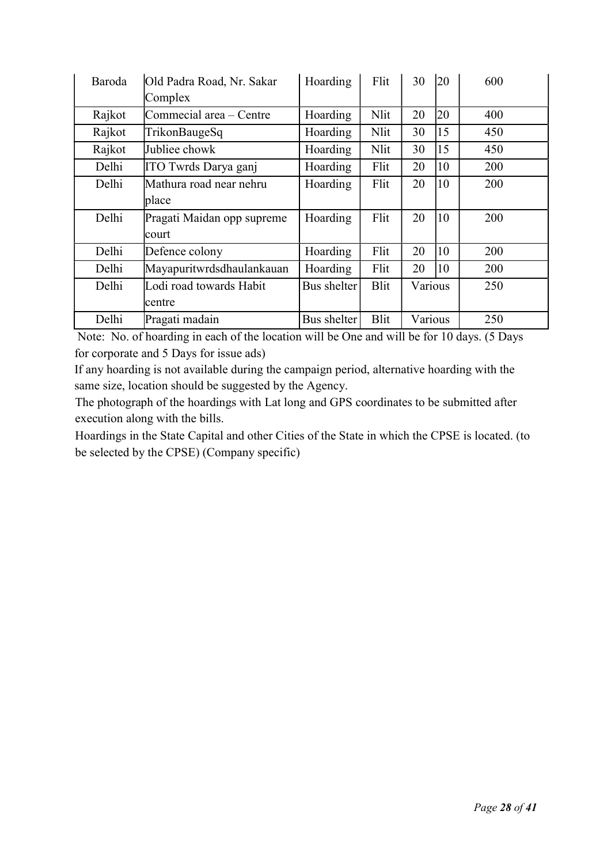| Baroda | Old Padra Road, Nr. Sakar  | Hoarding    | Flit        | 30      | <b>20</b> | 600 |
|--------|----------------------------|-------------|-------------|---------|-----------|-----|
|        | Complex                    |             |             |         |           |     |
| Rajkot | Commecial area - Centre    | Hoarding    | Nlit        | 20      | 20        | 400 |
| Rajkot | TrikonBaugeSq              | Hoarding    | Nlit        | 30      | 15        | 450 |
| Rajkot | Jubliee chowk              | Hoarding    | Nlit        | 30      | 15        | 450 |
| Delhi  | ITO Twrds Darya ganj       | Hoarding    | Flit        | 20      | 10        | 200 |
| Delhi  | Mathura road near nehru    | Hoarding    | Flit        | 20      | 10        | 200 |
|        | place                      |             |             |         |           |     |
| Delhi  | Pragati Maidan opp supreme | Hoarding    | Flit        | 20      | 10        | 200 |
|        | court                      |             |             |         |           |     |
| Delhi  | Defence colony             | Hoarding    | Flit        | 20      | 10        | 200 |
| Delhi  | Mayapuritwrdsdhaulankauan  | Hoarding    | Flit        | 20      | 10        | 200 |
| Delhi  | Lodi road towards Habit    | Bus shelter | <b>Blit</b> | Various |           | 250 |
|        | centre                     |             |             |         |           |     |
| Delhi  | Pragati madain             | Bus shelter | <b>Blit</b> | Various |           | 250 |

 Note: No. of hoarding in each of the location will be One and will be for 10 days. (5 Days for corporate and 5 Days for issue ads)

If any hoarding is not available during the campaign period, alternative hoarding with the same size, location should be suggested by the Agency.

The photograph of the hoardings with Lat long and GPS coordinates to be submitted after execution along with the bills.

Hoardings in the State Capital and other Cities of the State in which the CPSE is located. (to be selected by the CPSE) (Company specific)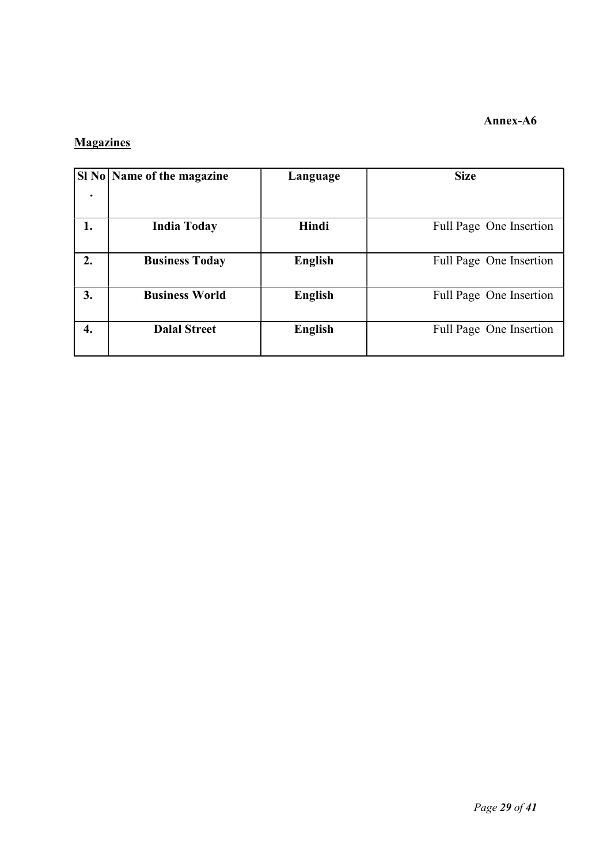### Annex-A6

# **Magazines**

|    | SI No   Name of the magazine | Language       | <b>Size</b>             |
|----|------------------------------|----------------|-------------------------|
|    |                              |                |                         |
| 1. | <b>India Today</b>           | Hindi          | Full Page One Insertion |
| 2. | <b>Business Today</b>        | <b>English</b> | Full Page One Insertion |
| 3. | <b>Business World</b>        | <b>English</b> | Full Page One Insertion |
| 4. | <b>Dalal Street</b>          | <b>English</b> | Full Page One Insertion |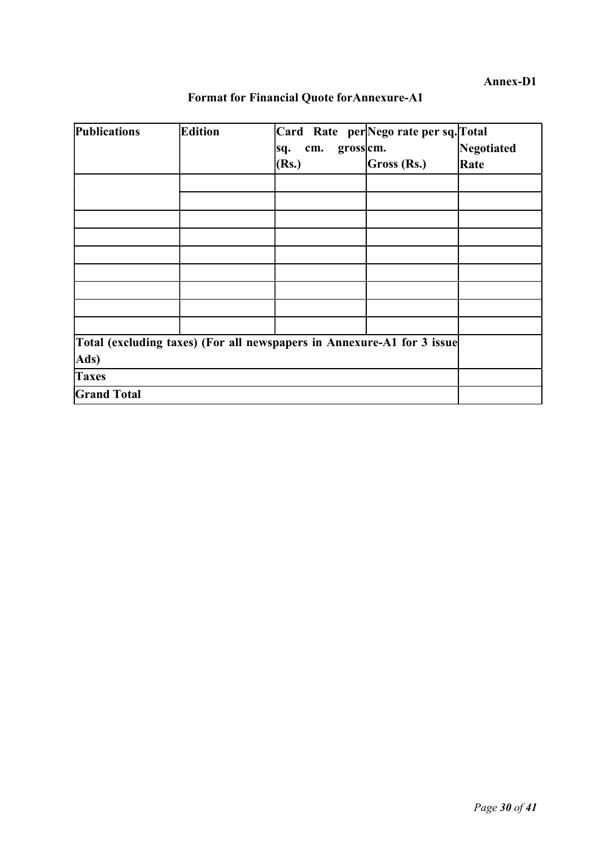| <b>Publications</b>                                                    | <b>Edition</b> | Card Rate per Nego rate per sq. Total |             |            |
|------------------------------------------------------------------------|----------------|---------------------------------------|-------------|------------|
|                                                                        |                | grosscm.<br>cm.<br>sq.                |             | Negotiated |
|                                                                        |                | (Rs.)                                 | Gross (Rs.) | Rate       |
|                                                                        |                |                                       |             |            |
|                                                                        |                |                                       |             |            |
|                                                                        |                |                                       |             |            |
|                                                                        |                |                                       |             |            |
|                                                                        |                |                                       |             |            |
|                                                                        |                |                                       |             |            |
|                                                                        |                |                                       |             |            |
|                                                                        |                |                                       |             |            |
|                                                                        |                |                                       |             |            |
| Total (excluding taxes) (For all newspapers in Annexure-A1 for 3 issue |                |                                       |             |            |
| Ads)                                                                   |                |                                       |             |            |
| <b>Taxes</b>                                                           |                |                                       |             |            |
| <b>Grand Total</b>                                                     |                |                                       |             |            |

# Format for Financial Quote forAnnexure-A1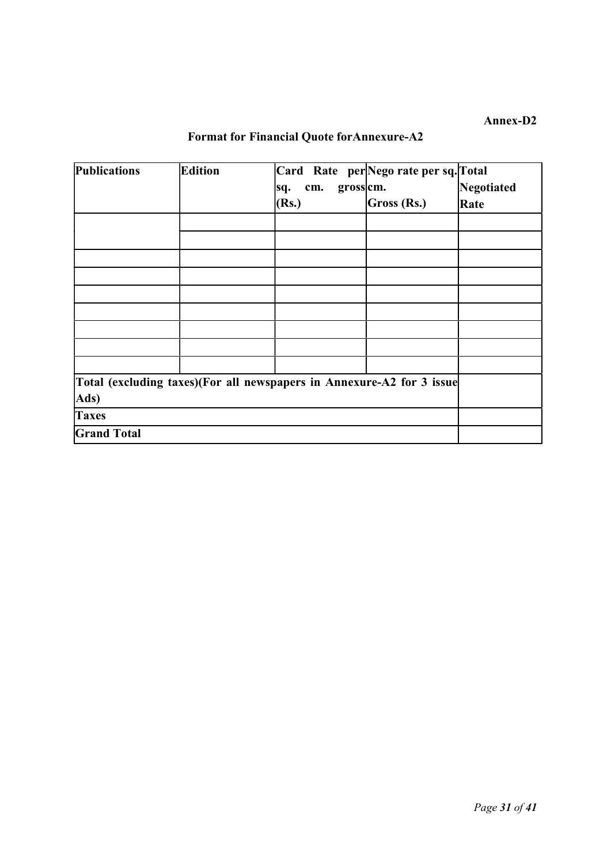# Format for Financial Quote forAnnexure-A2

| Publications       | Edition | Card Rate per Nego rate per sq. Total<br>gross cm.<br>cm.<br>sq.<br>(Rs.) | Gross (Rs.) | Negotiated<br>Rate |
|--------------------|---------|---------------------------------------------------------------------------|-------------|--------------------|
|                    |         |                                                                           |             |                    |
|                    |         |                                                                           |             |                    |
|                    |         |                                                                           |             |                    |
|                    |         |                                                                           |             |                    |
|                    |         |                                                                           |             |                    |
|                    |         |                                                                           |             |                    |
|                    |         |                                                                           |             |                    |
|                    |         |                                                                           |             |                    |
|                    |         |                                                                           |             |                    |
| Ads)               |         | Total (excluding taxes)(For all newspapers in Annexure-A2 for 3 issue     |             |                    |
| <b>Taxes</b>       |         |                                                                           |             |                    |
| <b>Grand Total</b> |         |                                                                           |             |                    |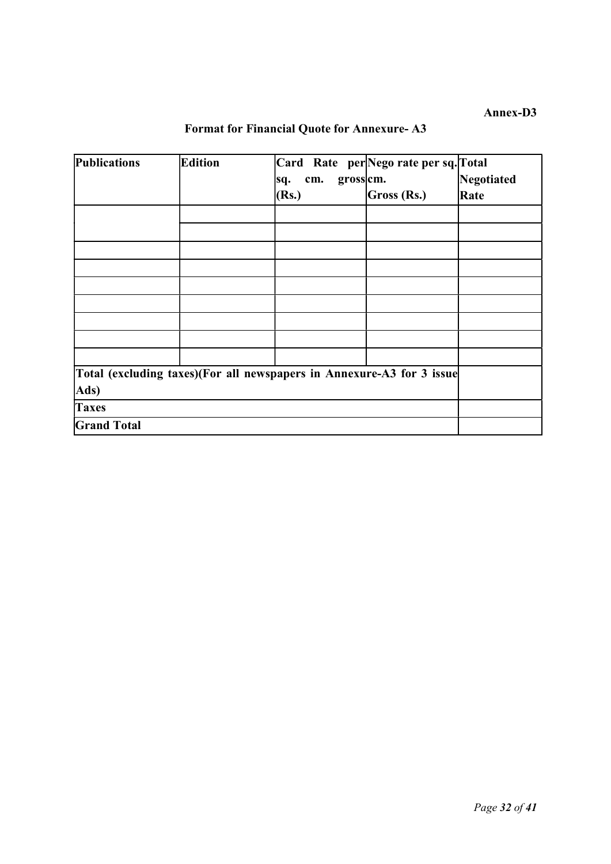| <b>Publications</b>                                                   | <b>Edition</b> |            |          | Card Rate per Nego rate per sq. Total |            |
|-----------------------------------------------------------------------|----------------|------------|----------|---------------------------------------|------------|
|                                                                       |                | cm.<br>sq. | grosscm. |                                       | Negotiated |
|                                                                       |                | (Rs.)      |          | Gross (Rs.)                           | Rate       |
|                                                                       |                |            |          |                                       |            |
|                                                                       |                |            |          |                                       |            |
|                                                                       |                |            |          |                                       |            |
|                                                                       |                |            |          |                                       |            |
|                                                                       |                |            |          |                                       |            |
|                                                                       |                |            |          |                                       |            |
|                                                                       |                |            |          |                                       |            |
|                                                                       |                |            |          |                                       |            |
|                                                                       |                |            |          |                                       |            |
| Total (excluding taxes)(For all newspapers in Annexure-A3 for 3 issue |                |            |          |                                       |            |
| Ads)                                                                  |                |            |          |                                       |            |
| <b>Taxes</b>                                                          |                |            |          |                                       |            |
| <b>Grand Total</b>                                                    |                |            |          |                                       |            |

# Format for Financial Quote for Annexure- A3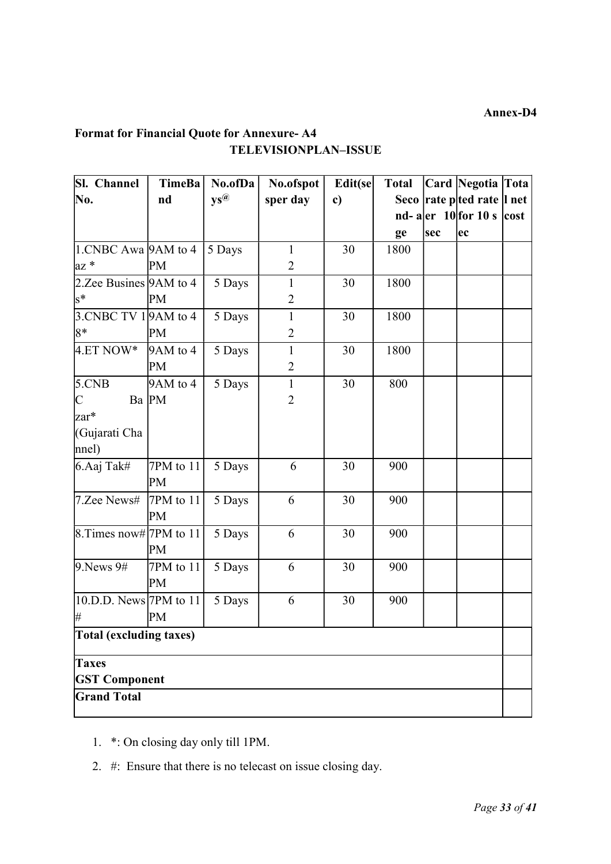# Format for Financial Quote for Annexure- A4 TELEVISIONPLAN–ISSUE

| Sl. Channel                | <b>TimeBa</b> | No.ofDa                            | No.ofspot      | Edit(se | <b>Total</b> |     | Card Negotia Tota                                                         |  |
|----------------------------|---------------|------------------------------------|----------------|---------|--------------|-----|---------------------------------------------------------------------------|--|
| No.                        | nd            | $\mathbf{y}\mathbf{s}^{\circledR}$ | sper day       | c)      |              |     | Seco rate pted rate l net                                                 |  |
|                            |               |                                    |                |         |              |     | nd- a $\left  \text{er} \right  10$ for 10 s $\left  \text{cost} \right $ |  |
|                            |               |                                    |                |         | ge           | sec | ec                                                                        |  |
| $1.CNBC Awa$ 9AM to 4      |               | 5 Days                             | $\mathbf{1}$   | 30      | 1800         |     |                                                                           |  |
| $az *$                     | PM            |                                    | $\overline{2}$ |         |              |     |                                                                           |  |
| 2. Zee Busines $9AM$ to 4  |               | 5 Days                             | 1              | 30      | 1800         |     |                                                                           |  |
| $s^*$                      | PM            |                                    | $\overline{2}$ |         |              |     |                                                                           |  |
| 3. CNBC TV 1 9 AM to 4     |               | 5 Days                             | $\mathbf{1}$   | 30      | 1800         |     |                                                                           |  |
| $8*$                       | PM            |                                    | $\overline{2}$ |         |              |     |                                                                           |  |
| $4.ET NOW*$                | 9AM to 4      | 5 Days                             | $\mathbf{1}$   | 30      | 1800         |     |                                                                           |  |
|                            | PM            |                                    | $\overline{2}$ |         |              |     |                                                                           |  |
| 5.CNB                      | 9AM to 4      | 5 Days                             | $\mathbf{1}$   | 30      | 800          |     |                                                                           |  |
| $\mathsf{C}$               | Ba PM         |                                    | $\overline{2}$ |         |              |     |                                                                           |  |
| zar*                       |               |                                    |                |         |              |     |                                                                           |  |
| (Gujarati Cha              |               |                                    |                |         |              |     |                                                                           |  |
| $ $ nnel $)$               |               |                                    |                |         |              |     |                                                                           |  |
| 6.Aaj Tak#                 | 7PM to 11     | 5 Days                             | 6              | 30      | 900          |     |                                                                           |  |
|                            | PM            |                                    |                |         |              |     |                                                                           |  |
| 7.Zee News#                | 7PM to $11$   | 5 Days                             | 6              | 30      | 900          |     |                                                                           |  |
|                            | PM            |                                    |                |         |              |     |                                                                           |  |
| 8. Times now# 7PM to 11    |               | 5 Days                             | 6              | 30      | 900          |     |                                                                           |  |
|                            | PM            |                                    |                |         |              |     |                                                                           |  |
| 9. News 9#                 | $7PM$ to $11$ | 5 Days                             | 6              | 30      | 900          |     |                                                                           |  |
|                            | PM            |                                    |                |         |              |     |                                                                           |  |
| $[10.D.D. News]$ 7PM to 11 |               | 5 Days                             | 6              | 30      | 900          |     |                                                                           |  |
| #                          | PM            |                                    |                |         |              |     |                                                                           |  |
| Total (excluding taxes)    |               |                                    |                |         |              |     |                                                                           |  |
| <b>Taxes</b>               |               |                                    |                |         |              |     |                                                                           |  |
| <b>GST Component</b>       |               |                                    |                |         |              |     |                                                                           |  |
| <b>Grand Total</b>         |               |                                    |                |         |              |     |                                                                           |  |

- 1. \*: On closing day only till 1PM.
- 2. #: Ensure that there is no telecast on issue closing day.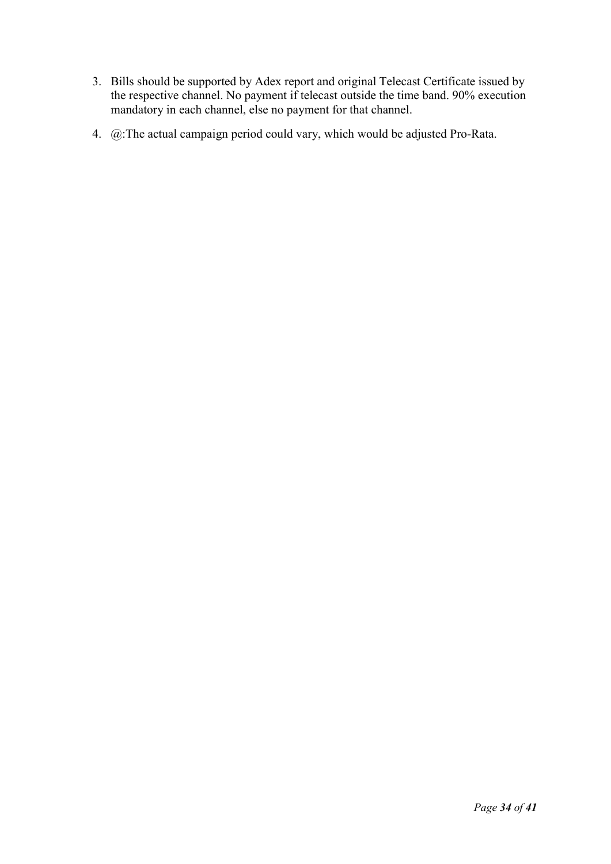- 3. Bills should be supported by Adex report and original Telecast Certificate issued by the respective channel. No payment if telecast outside the time band. 90% execution mandatory in each channel, else no payment for that channel.
- 4. @:The actual campaign period could vary, which would be adjusted Pro-Rata.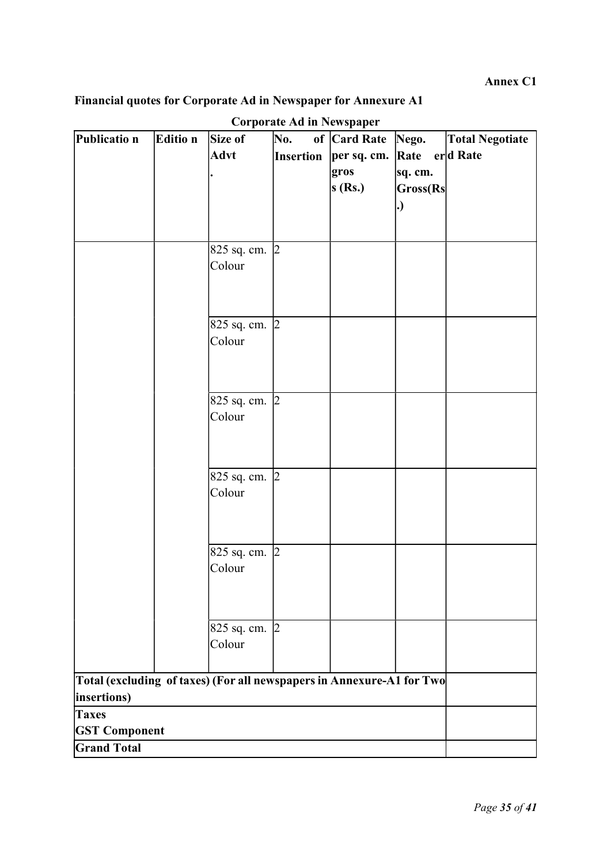Annex C1

# Financial quotes for Corporate Ad in Newspaper for Annexure A1

| Publicatio n                                                          | Editio n | Size of       | Corporate Ad in Newspaper<br>No. | of Card Rate | Nego.    | <b>Total Negotiate</b> |
|-----------------------------------------------------------------------|----------|---------------|----------------------------------|--------------|----------|------------------------|
|                                                                       |          | <b>Advt</b>   | <b>Insertion</b>                 | per sq. cm.  | Rate     | erd Rate               |
|                                                                       |          |               |                                  | gros         | sq. cm.  |                        |
|                                                                       |          |               |                                  | s(Rs.)       | Gross(Rs |                        |
|                                                                       |          |               |                                  |              | . )      |                        |
|                                                                       |          |               |                                  |              |          |                        |
|                                                                       |          |               |                                  |              |          |                        |
|                                                                       |          | 825 sq. cm. 2 |                                  |              |          |                        |
|                                                                       |          | Colour        |                                  |              |          |                        |
|                                                                       |          |               |                                  |              |          |                        |
|                                                                       |          |               |                                  |              |          |                        |
|                                                                       |          | 825 sq. cm. 2 |                                  |              |          |                        |
|                                                                       |          | Colour        |                                  |              |          |                        |
|                                                                       |          |               |                                  |              |          |                        |
|                                                                       |          |               |                                  |              |          |                        |
|                                                                       |          | 825 sq. cm. 2 |                                  |              |          |                        |
|                                                                       |          | Colour        |                                  |              |          |                        |
|                                                                       |          |               |                                  |              |          |                        |
|                                                                       |          |               |                                  |              |          |                        |
|                                                                       |          | 825 sq. cm. 2 |                                  |              |          |                        |
|                                                                       |          | Colour        |                                  |              |          |                        |
|                                                                       |          |               |                                  |              |          |                        |
|                                                                       |          |               |                                  |              |          |                        |
|                                                                       |          | 825 sq. cm. 2 |                                  |              |          |                        |
|                                                                       |          | Colour        |                                  |              |          |                        |
|                                                                       |          |               |                                  |              |          |                        |
|                                                                       |          |               |                                  |              |          |                        |
|                                                                       |          | 825 sq. cm. 2 |                                  |              |          |                        |
|                                                                       |          | Colour        |                                  |              |          |                        |
|                                                                       |          |               |                                  |              |          |                        |
| Total (excluding of taxes) (For all newspapers in Annexure-A1 for Two |          |               |                                  |              |          |                        |
| insertions)                                                           |          |               |                                  |              |          |                        |
| <b>Taxes</b>                                                          |          |               |                                  |              |          |                        |
| <b>GST Component</b>                                                  |          |               |                                  |              |          |                        |
| <b>Grand Total</b>                                                    |          |               |                                  |              |          |                        |

# Corporate Ad in Newspaper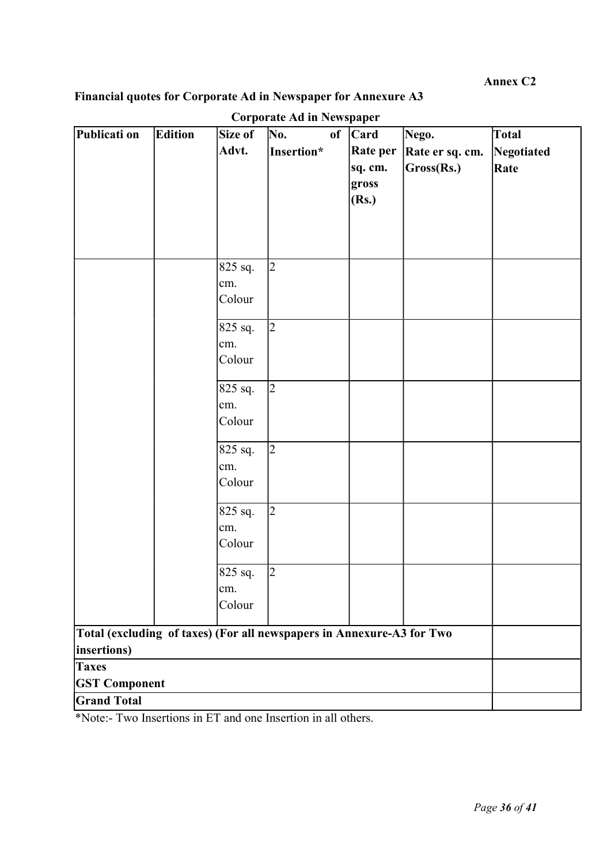Annex C2

# Financial quotes for Corporate Ad in Newspaper for Annexure A3

| Publicati on                                                          | Edition | Size of              | Curpurate Au III Premspaper<br>No. | of | <b>Card</b> | Nego.           | Total      |
|-----------------------------------------------------------------------|---------|----------------------|------------------------------------|----|-------------|-----------------|------------|
|                                                                       |         | Advt.                | Insertion*                         |    | Rate per    | Rate er sq. cm. | Negotiated |
|                                                                       |         |                      |                                    |    | sq. cm.     | Gross(Rs.)      | Rate       |
|                                                                       |         |                      |                                    |    | gross       |                 |            |
|                                                                       |         |                      |                                    |    | (Rs.)       |                 |            |
|                                                                       |         |                      |                                    |    |             |                 |            |
|                                                                       |         |                      |                                    |    |             |                 |            |
|                                                                       |         |                      |                                    |    |             |                 |            |
|                                                                       |         | 825 sq.              | $\overline{2}$                     |    |             |                 |            |
|                                                                       |         | cm.                  |                                    |    |             |                 |            |
|                                                                       |         | Colour               |                                    |    |             |                 |            |
|                                                                       |         |                      |                                    |    |             |                 |            |
|                                                                       |         | $\overline{825}$ sq. | $\overline{2}$                     |    |             |                 |            |
|                                                                       |         | cm.                  |                                    |    |             |                 |            |
|                                                                       |         | Colour               |                                    |    |             |                 |            |
|                                                                       |         | $\sqrt{825}$ sq.     | $\overline{2}$                     |    |             |                 |            |
|                                                                       |         | cm.                  |                                    |    |             |                 |            |
|                                                                       |         | Colour               |                                    |    |             |                 |            |
|                                                                       |         |                      |                                    |    |             |                 |            |
|                                                                       |         | 825 sq.              | $\overline{2}$                     |    |             |                 |            |
|                                                                       |         | cm.                  |                                    |    |             |                 |            |
|                                                                       |         | Colour               |                                    |    |             |                 |            |
|                                                                       |         |                      |                                    |    |             |                 |            |
|                                                                       |         | 825 sq.              | $\overline{2}$                     |    |             |                 |            |
|                                                                       |         | cm.                  |                                    |    |             |                 |            |
|                                                                       |         | Colour               |                                    |    |             |                 |            |
|                                                                       |         | 825 sq.              | $\overline{2}$                     |    |             |                 |            |
|                                                                       |         | cm.                  |                                    |    |             |                 |            |
|                                                                       |         | Colour               |                                    |    |             |                 |            |
|                                                                       |         |                      |                                    |    |             |                 |            |
| Total (excluding of taxes) (For all newspapers in Annexure-A3 for Two |         |                      |                                    |    |             |                 |            |
| insertions)                                                           |         |                      |                                    |    |             |                 |            |
| <b>Taxes</b>                                                          |         |                      |                                    |    |             |                 |            |
| <b>GST Component</b>                                                  |         |                      |                                    |    |             |                 |            |
| <b>Grand Total</b>                                                    |         |                      |                                    |    |             |                 |            |

Corporate Ad in Newspaper

\*Note:- Two Insertions in ET and one Insertion in all others.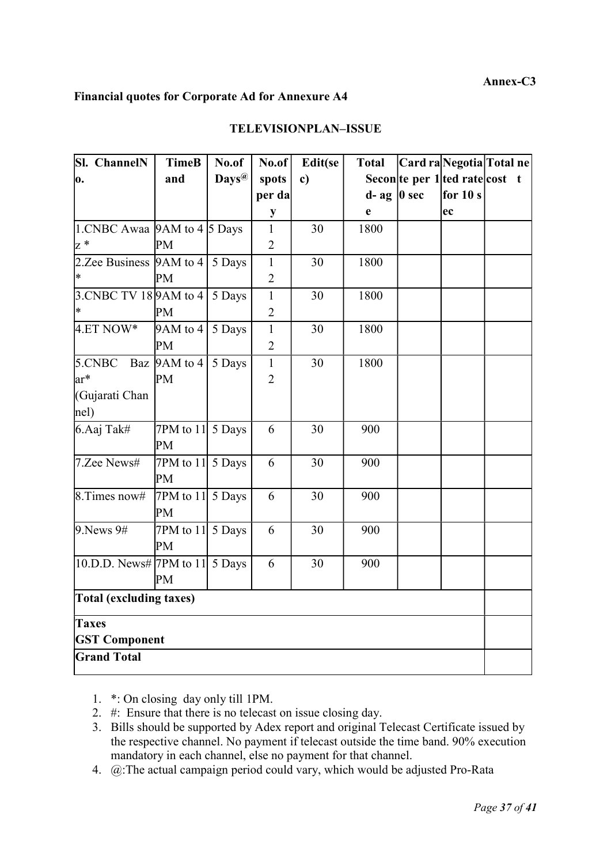#### Annex-C3

#### Financial quotes for Corporate Ad for Annexure A4

| <b>Sl.</b> ChannelN                        | <b>TimeB</b>              | No.of             | No.of          | Edit(se      | <b>Total</b>     |  | Card raNegotia Total ne        |  |
|--------------------------------------------|---------------------------|-------------------|----------------|--------------|------------------|--|--------------------------------|--|
| o.                                         | and                       | Days <sup>@</sup> | spots          | $\mathbf{c}$ |                  |  | Secon te per 1 ted rate cost t |  |
|                                            |                           |                   | per da         |              | $d$ - ag   0 sec |  | for $10 s$                     |  |
|                                            |                           |                   | $\mathbf{y}$   |              | e                |  | ec                             |  |
| 1.CNBC Awaa $9AM$ to $4\overline{)5}$ Days |                           |                   | $\mathbf{1}$   | 30           | 1800             |  |                                |  |
| $z^*$                                      | PM                        |                   | $\overline{2}$ |              |                  |  |                                |  |
| 2.Zee Business $ 9AM \text{ to } 4 $       |                           | 5 Days            | $\mathbf{1}$   | 30           | 1800             |  |                                |  |
| l∗                                         | PM                        |                   | $\overline{c}$ |              |                  |  |                                |  |
| 3.CNBC TV 18 9 AM to 4                     |                           | 5 Days            | $\mathbf{1}$   | 30           | 1800             |  |                                |  |
| $\ast$                                     | <b>PM</b>                 |                   | $\overline{2}$ |              |                  |  |                                |  |
| 4.ET NOW*                                  | 9AM to 4                  | 5 Days            | $\mathbf{1}$   | 30           | 1800             |  |                                |  |
|                                            | PM                        |                   | $\overline{2}$ |              |                  |  |                                |  |
| 5.CNBC                                     | Baz $ 9AM \text{ to } 4 $ | 5 Days            | $\overline{1}$ | 30           | 1800             |  |                                |  |
| ar*                                        | PM                        |                   | $\overline{2}$ |              |                  |  |                                |  |
| (Gujarati Chan                             |                           |                   |                |              |                  |  |                                |  |
| nel)                                       |                           |                   |                |              |                  |  |                                |  |
| 6.Aaj Tak#                                 | 7PM to 11 $5$ Days        |                   | 6              | 30           | 900              |  |                                |  |
|                                            | PM                        |                   |                |              |                  |  |                                |  |
| 7.Zee News#                                | 7PM to 11 $5$ Days        |                   | 6              | 30           | 900              |  |                                |  |
|                                            | <b>PM</b>                 |                   |                |              |                  |  |                                |  |
| $8.$ Times now#                            | 7PM to 11 $5$ Days        |                   | 6              | 30           | 900              |  |                                |  |
|                                            | PM                        |                   |                |              |                  |  |                                |  |
| $9.$ News $9#$                             | 7PM to 11 $5$ Days        |                   | 6              | 30           | 900              |  |                                |  |
|                                            | PM                        |                   |                |              |                  |  |                                |  |
| 10.D.D. News# 7PM to 11 $\vert$ 5 Days     |                           |                   | 6              | 30           | 900              |  |                                |  |
|                                            | PM                        |                   |                |              |                  |  |                                |  |
| <b>Total (excluding taxes)</b>             |                           |                   |                |              |                  |  |                                |  |
| <b>Taxes</b>                               |                           |                   |                |              |                  |  |                                |  |
| <b>GST Component</b>                       |                           |                   |                |              |                  |  |                                |  |
| <b>Grand Total</b>                         |                           |                   |                |              |                  |  |                                |  |

#### TELEVISIONPLAN–ISSUE

1. \*: On closing day only till 1PM.

- 2. #: Ensure that there is no telecast on issue closing day.
- 3. Bills should be supported by Adex report and original Telecast Certificate issued by the respective channel. No payment if telecast outside the time band. 90% execution mandatory in each channel, else no payment for that channel.
- 4. @:The actual campaign period could vary, which would be adjusted Pro-Rata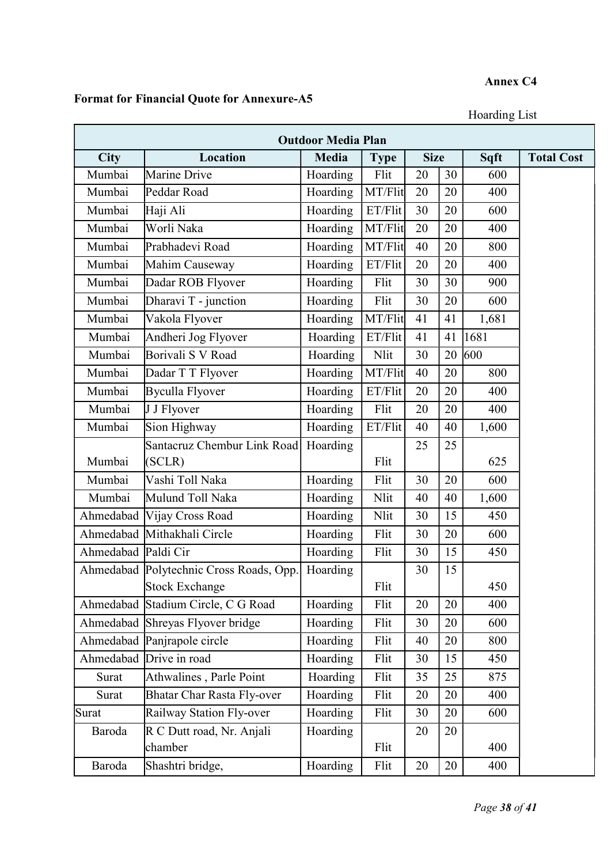# Annex C4

# Format for Financial Quote for Annexure-A5

Hoarding List

| <b>Outdoor Media Plan</b> |                                         |              |             |             |    |       |                   |
|---------------------------|-----------------------------------------|--------------|-------------|-------------|----|-------|-------------------|
| City                      | <b>Location</b>                         | <b>Media</b> | <b>Type</b> | <b>Size</b> |    | Sqft  | <b>Total Cost</b> |
| Mumbai                    | Marine Drive                            | Hoarding     | Flit        | 20          | 30 | 600   |                   |
| Mumbai                    | Peddar Road                             | Hoarding     | MT/Flit     | 20          | 20 | 400   |                   |
| Mumbai                    | Haji Ali                                | Hoarding     | ET/Flit     | 30          | 20 | 600   |                   |
| Mumbai                    | Worli Naka                              | Hoarding     | MT/Flit     | 20          | 20 | 400   |                   |
| Mumbai                    | Prabhadevi Road                         | Hoarding     | MT/Flit     | 40          | 20 | 800   |                   |
| Mumbai                    | Mahim Causeway                          | Hoarding     | ET/Flit     | 20          | 20 | 400   |                   |
| Mumbai                    | Dadar ROB Flyover                       | Hoarding     | Flit        | 30          | 30 | 900   |                   |
| Mumbai                    | Dharavi T - junction                    | Hoarding     | Flit        | 30          | 20 | 600   |                   |
| Mumbai                    | Vakola Flyover                          | Hoarding     | MT/Flit     | 41          | 41 | 1,681 |                   |
| Mumbai                    | Andheri Jog Flyover                     | Hoarding     | ET/Flit     | 41          | 41 | 1681  |                   |
| Mumbai                    | Borivali S V Road                       | Hoarding     | Nlit        | 30          | 20 | 600   |                   |
| Mumbai                    | Dadar T T Flyover                       | Hoarding     | MT/Flit     | 40          | 20 | 800   |                   |
| Mumbai                    | <b>Byculla Flyover</b>                  | Hoarding     | ET/Flit     | 20          | 20 | 400   |                   |
| Mumbai                    | J J Flyover                             | Hoarding     | Flit        | 20          | 20 | 400   |                   |
| Mumbai                    | Sion Highway                            | Hoarding     | ET/Flit     | 40          | 40 | 1,600 |                   |
|                           | Santacruz Chembur Link Road             | Hoarding     |             | 25          | 25 |       |                   |
| Mumbai                    | (SCLR)                                  |              | Flit        |             |    | 625   |                   |
| Mumbai                    | Vashi Toll Naka                         | Hoarding     | Flit        | 30          | 20 | 600   |                   |
| Mumbai                    | Mulund Toll Naka                        | Hoarding     | Nlit        | 40          | 40 | 1,600 |                   |
| Ahmedabad                 | Vijay Cross Road                        | Hoarding     | Nlit        | 30          | 15 | 450   |                   |
| Ahmedabad                 | Mithakhali Circle                       | Hoarding     | Flit        | 30          | 20 | 600   |                   |
| Ahmedabad Paldi Cir       |                                         | Hoarding     | Flit        | 30          | 15 | 450   |                   |
|                           | Ahmedabad Polytechnic Cross Roads, Opp. | Hoarding     |             | 30          | 15 |       |                   |
|                           | Stock Exchange                          |              | Flit        |             |    | 450   |                   |
| Ahmedabad                 | Stadium Circle, C G Road                | Hoarding     | Flit        | 20          | 20 | 400   |                   |
|                           | Ahmedabad Shreyas Flyover bridge        | Hoarding     | Flit        | 30          | 20 | 600   |                   |
|                           | Ahmedabad Panjrapole circle             | Hoarding     | Flit        | 40          | 20 | 800   |                   |
|                           | Ahmedabad Drive in road                 | Hoarding     | Flit        | 30          | 15 | 450   |                   |
| Surat                     | Athwalines, Parle Point                 | Hoarding     | Flit        | 35          | 25 | 875   |                   |
| Surat                     | <b>Bhatar Char Rasta Fly-over</b>       | Hoarding     | Flit        | 20          | 20 | 400   |                   |
| Surat                     | Railway Station Fly-over                | Hoarding     | Flit        | 30          | 20 | 600   |                   |
| Baroda                    | R C Dutt road, Nr. Anjali               | Hoarding     |             | 20          | 20 |       |                   |
|                           | chamber                                 |              | Flit        |             |    | 400   |                   |
| Baroda                    | Shashtri bridge,                        | Hoarding     | Flit        | 20          | 20 | 400   |                   |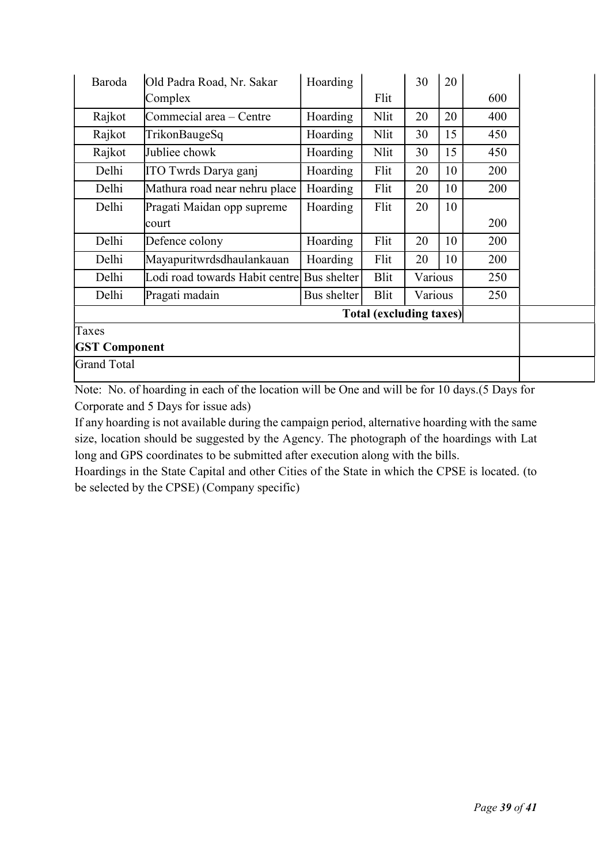| Baroda               | Old Padra Road, Nr. Sakar      | Hoarding    |             | 30      | 20 |     |  |  |  |
|----------------------|--------------------------------|-------------|-------------|---------|----|-----|--|--|--|
|                      | Complex                        |             | Flit        |         |    | 600 |  |  |  |
| Rajkot               | Commecial area - Centre        | Hoarding    | Nlit        | 20      | 20 | 400 |  |  |  |
| Rajkot               | TrikonBaugeSq                  | Hoarding    | Nlit        | 30      | 15 | 450 |  |  |  |
| Rajkot               | Jubliee chowk                  | Hoarding    | Nlit        | 30      | 15 | 450 |  |  |  |
| Delhi                | ITO Twrds Darya ganj           | Hoarding    | Flit        | 20      | 10 | 200 |  |  |  |
| Delhi                | Mathura road near nehru place  | Hoarding    | Flit        | 20      | 10 | 200 |  |  |  |
| Delhi                | Pragati Maidan opp supreme     | Hoarding    | Flit        | 20      | 10 |     |  |  |  |
|                      | court                          |             |             |         |    | 200 |  |  |  |
| Delhi                | Defence colony                 | Hoarding    | Flit        | 20      | 10 | 200 |  |  |  |
| Delhi                | Mayapuritwrdsdhaulankauan      | Hoarding    | Flit        | 20      | 10 | 200 |  |  |  |
| Delhi                | Lodi road towards Habit centre | Bus shelter | <b>Blit</b> | Various |    | 250 |  |  |  |
| Delhi                | Pragati madain                 | Bus shelter | Blit        | Various |    | 250 |  |  |  |
|                      |                                |             |             |         |    |     |  |  |  |
| Taxes                |                                |             |             |         |    |     |  |  |  |
| <b>GST Component</b> |                                |             |             |         |    |     |  |  |  |
| <b>Grand Total</b>   |                                |             |             |         |    |     |  |  |  |

Note: No. of hoarding in each of the location will be One and will be for 10 days.(5 Days for Corporate and 5 Days for issue ads)

If any hoarding is not available during the campaign period, alternative hoarding with the same size, location should be suggested by the Agency. The photograph of the hoardings with Lat long and GPS coordinates to be submitted after execution along with the bills.

Hoardings in the State Capital and other Cities of the State in which the CPSE is located. (to be selected by the CPSE) (Company specific)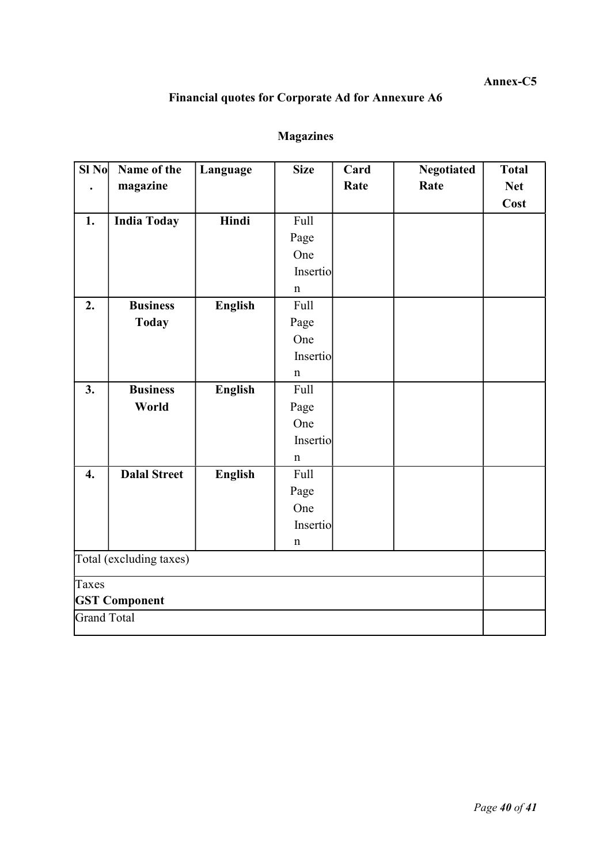# Annex-C5

# Financial quotes for Corporate Ad for Annexure A6

# Magazines

| SI <sub>No</sub>        | Name of the          | Language       | <b>Size</b> | Card | <b>Negotiated</b> | <b>Total</b> |
|-------------------------|----------------------|----------------|-------------|------|-------------------|--------------|
|                         | magazine             |                |             | Rate | Rate              | <b>Net</b>   |
|                         |                      |                |             |      |                   | Cost         |
| 1.                      | <b>India Today</b>   | Hindi          | Full        |      |                   |              |
|                         |                      |                | Page        |      |                   |              |
|                         |                      |                | One         |      |                   |              |
|                         |                      |                | Insertio    |      |                   |              |
|                         |                      |                | $\mathbf n$ |      |                   |              |
| 2.                      | <b>Business</b>      | <b>English</b> | Full        |      |                   |              |
|                         | <b>Today</b>         |                | Page        |      |                   |              |
|                         |                      |                | One         |      |                   |              |
|                         |                      |                | Insertio    |      |                   |              |
|                         |                      |                | $\mathbf n$ |      |                   |              |
| 3.                      | <b>Business</b>      | <b>English</b> | Full        |      |                   |              |
|                         | World                |                | Page        |      |                   |              |
|                         |                      |                | One         |      |                   |              |
|                         |                      |                | Insertio    |      |                   |              |
|                         |                      |                | $\mathbf n$ |      |                   |              |
| 4.                      | <b>Dalal Street</b>  | <b>English</b> | <b>Full</b> |      |                   |              |
|                         |                      |                | Page        |      |                   |              |
|                         |                      |                | One         |      |                   |              |
|                         |                      |                | Insertio    |      |                   |              |
|                         |                      |                | $\mathbf n$ |      |                   |              |
| Total (excluding taxes) |                      |                |             |      |                   |              |
| Taxes                   |                      |                |             |      |                   |              |
|                         | <b>GST Component</b> |                |             |      |                   |              |
| <b>Grand Total</b>      |                      |                |             |      |                   |              |